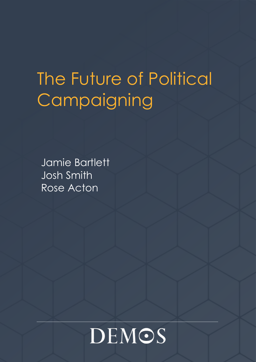# The Future of Political **Campaigning**

Jamie Bartlett Josh Smith Rose Acton

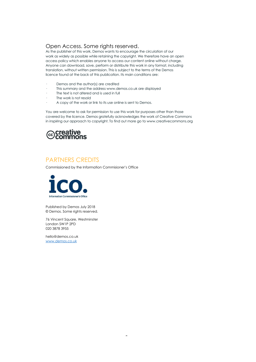## Open Access. Some rights reserved.

As the publisher of this work, Demos wants to encourage the circulation of our work as widely as possible while retaining the copyright. We therefore have an open access policy which enables anyone to access our content online without charge. Anyone can download, save, perform or distribute this work in any format, including translation, without written permission. This is subject to the terms of the Demos licence found at the back of this publication. Its main conditions are:

- · Demos and the author(s) are credited
- This summary and the address www.demos.co.uk are displayed
- The text is not altered and is used in full
- The work is not resold
- · A copy of the work or link to its use online is sent to Demos.

You are welcome to ask for permission to use this work for purposes other than those covered by the licence. Demos gratefully acknowledges the work of Creative Commons in inspiring our approach to copyright. To find out more go to www.creativecommons.org



## PARTNERS CREDITS

Commissioned by the Information Commisioner's Office



Published by Demos July 2018 © Demos. Some rights reserved.

76 Vincent Square, Westminster London SW1P 2PD 020 3878 3955

[hello@demos.co.uk](mailto:hello@demos.co.uk) [www.demos.co.uk](http://www.demos.co.uk/)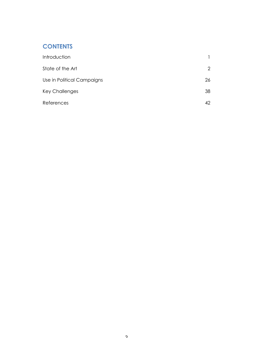# **CONTENTS**

| Introduction               |                |
|----------------------------|----------------|
| State of the Art           | $\overline{2}$ |
| Use in Political Campaigns | 26             |
| <b>Key Challenges</b>      | 38             |
| References                 | 42             |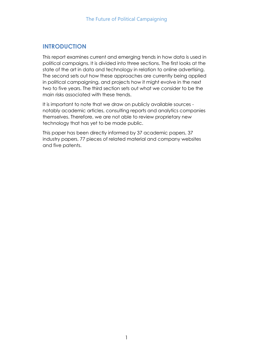## **INTRODUCTION**

This report examines current and emerging trends in how data is used in political campaigns. It is divided into three sections. The first looks at the state of the art in data and technology in relation to online advertising. The second sets out how these approaches are currently being applied in political campaigning, and projects how it might evolve in the next two to five years. The third section sets out what we consider to be the main risks associated with these trends.

It is important to note that we draw on publicly available sources notably academic articles, consulting reports and analytics companies themselves. Therefore, we are not able to review proprietary new technology that has yet to be made public.

This paper has been directly informed by 37 academic papers, 37 industry papers, 77 pieces of related material and company websites and five patents.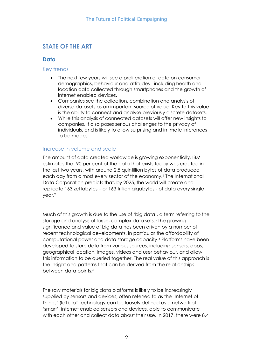# **STATE OF THE ART**

## **Data**

#### Key trends

- The next few years will see a proliferation of data on consumer demographics, behaviour and attitudes - including health and location data collected through smartphones and the growth of internet enabled devices.
- Companies see the collection, combination and analysis of diverse datasets as an important source of value. Key to this value is the ability to connect and analyse previously discrete datasets.
- While this analysis of connected datasets will offer new insights to companies, it also poses serious challenges to the privacy of individuals, and is likely to allow surprising and intimate inferences to be made.

## Increase in volume and scale

The amount of data created worldwide is growing exponentially. IBM estimates that 90 per cent of the data that exists today was created in the last two years, with around 2.5 quintillion bytes of data produced each day from almost every sector of the economy.<sup>1</sup> The International Data Corporation predicts that, by 2025, the world will create and replicate 163 zettabytes – or 163 trillion gigabytes - of data every single year.<sup>2</sup>

Much of this growth is due to the use of 'big data', a term referring to the storage and analysis of large, complex data sets.<sup>3</sup> The growing significance and value of big data has been driven by a number of recent technological developments, in particular the affordability of computational power and data storage capacity.<sup>4</sup> Platforms have been developed to store data from various sources, including sensors, apps, geographical location, images, videos and user behaviour, and allow this information to be queried together. The real value of this approach is the insight and patterns that can be derived from the relationships between data points.<sup>5</sup>

The raw materials for big data platforms is likely to be increasingly supplied by sensors and devices, often referred to as the 'Internet of Things' (IoT). IoT technology can be loosely defined as a network of 'smart', internet enabled sensors and devices, able to communicate with each other and collect data about their use. In 2017, there were 8.4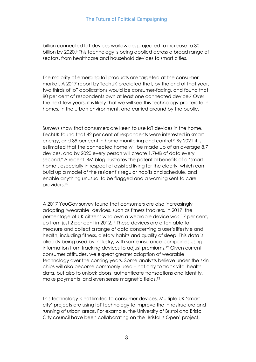billion connected IoT devices worldwide, projected to increase to 30 billion by 2020.6 This technology is being applied across a broad range of sectors, from healthcare and household devices to smart cities.

The majority of emerging IoT products are targeted at the consumer market. A 2017 report by TechUK predicted that, by the end of that year, two thirds of IoT applications would be consumer-facing, and found that 80 per cent of respondents own at least one connected device.<sup>7</sup> Over the next few years, it is likely that we will see this technology proliferate in homes, in the urban environment, and carried around by the public.

Surveys show that consumers are keen to use IoT devices in the home. TechUK found that 42 per cent of respondents were interested in smart energy, and 39 per cent in home monitoring and control.<sup>8</sup> By 2021 it is estimated that the connected home will be made up of an average 8.7 devices, and by 2020 every person will create 1.7MB of data every second.<sup>9</sup> A recent IBM blog illustrates the potential benefits of a 'smart home', especially in respect of assisted living for the elderly, which can build up a model of the resident's regular habits and schedule, and enable anything unusual to be flagged and a warning sent to care providers.<sup>10</sup>

A 2017 YouGov survey found that consumers are also increasingly adopting 'wearable' devices, such as fitness trackers. in 2017, the percentage of UK citizens who own a wearable device was 17 per cent, up from just 2 per cent in 2012.<sup>11</sup> These devices are often able to measure and collect a range of data concerning a user's lifestyle and health, including fitness, dietary habits and quality of sleep. This data is already being used by industry, with some insurance companies using information from tracking devices to adjust premiums.<sup>12</sup> Given current consumer attitudes, we expect greater adoption of wearable technology over the coming years. Some analysts believe under-the-skin chips will also become commonly used – not only to track vital health data, but also to unlock doors, authenticate transactions and identity, make payments and even sense magnetic fields.<sup>13</sup>

This technology is not limited to consumer devices. Multiple UK 'smart city' projects are using IoT technology to improve the infrastructure and running of urban areas. For example, the University of Bristol and Bristol City council have been collaborating on the 'Bristol is Open' project,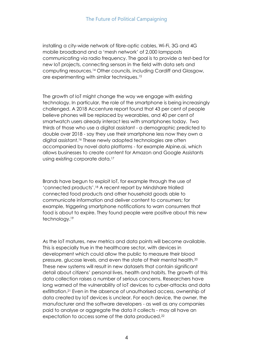installing a city-wide network of fibre-optic cables, Wi-Fi, 3G and 4G mobile broadband and a 'mesh network' of 2,000 lampposts communicating via radio frequency. The goal is to provide a test-bed for new IoT projects, connecting sensors in the field with data sets and computing resources.<sup>14</sup> Other councils, including Cardiff and Glasgow, are experimenting with similar techniques.<sup>15</sup>

The growth of IoT might change the way we engage with existing technology. In particular, the role of the smartphone is being increasingly challenged. A 2018 Accenture report found that 43 per cent of people believe phones will be replaced by wearables, and 40 per cent of smartwatch users already interact less with smartphones today. Two thirds of those who use a digital assistant - a demographic predicted to double over 2018 - say they use their smartphone less now they own a digital assistant.<sup>16</sup> These newly adopted technologies are often accompanied by novel data platforms - for example Alpine.ai, which allows businesses to create content for Amazon and Google Assistants using existing corporate data.<sup>17</sup>

Brands have begun to exploit IoT, for example through the use of 'connected products'.<sup>18</sup> A recent report by Mindshare trialled connected food products and other household goods able to communicate information and deliver content to consumers; for example, triggering smartphone notifications to warn consumers that food is about to expire. They found people were positive about this new technology.<sup>19</sup>

As the IoT matures, new metrics and data points will become available. This is especially true in the healthcare sector, with devices in development which could allow the public to measure their blood pressure, glucose levels, and even the state of their mental health.<sup>20</sup> These new systems will result in new datasets that contain significant detail about citizens' personal lives, health and habits. The growth of this data collection raises a number of serious concerns. Researchers have long warned of the vulnerability of IoT devices to cyber-attacks and data exfiltration.<sup>21</sup> Even in the absence of unauthorised access, ownership of data created by IoT devices is unclear. For each device, the owner, the manufacturer and the software developers - as well as any companies paid to analyse or aggregate the data it collects - may all have an expectation to access some of the data produced.22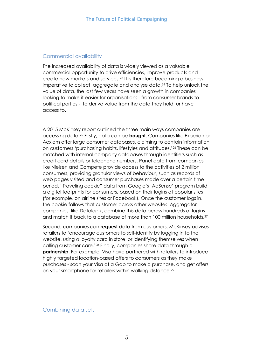#### Commercial availability

The increased availability of data is widely viewed as a valuable commercial opportunity to drive efficiencies, improve products and create new markets and services.<sup>23</sup> It is therefore becoming a business imperative to collect, aggregate and analyse data.<sup>24</sup> To help unlock the value of data, the last few years have seen a growth in companies looking to make it easier for organisations - from consumer brands to political parties - to derive value from the data they hold, or have access to.

A 2015 McKinsey report outlined the three main ways companies are accessing data.<sup>25</sup> Firstly, data can be **bought**. Companies like Experian or Acxiom offer large consumer databases, claiming to contain information on customers 'purchasing habits, lifestyles and attitudes.'<sup>26</sup> These can be matched with internal company databases through identifiers such as credit card details or telephone numbers. Panel data from companies like Nielsen and Compete provide access to the activities of 2 million consumers, providing granular views of behaviour, such as records of web pages visited and consumer purchases made over a certain time period. "Traveling cookie" data from Google's 'AdSense' program build a digital footprints for consumers, based on their logins at popular sites (for example, on airline sites or Facebook). Once the customer logs in, the cookie follows that customer across other websites. Aggregator companies, like Datalogix, combine this data across hundreds of logins and match it back to a database of more than 100 million households.<sup>27</sup>

Second, companies can **request** data from customers. McKinsey advises retailers to 'encourage customers to self-identify by logging in to the website, using a loyalty card in store, or identifying themselves when calling customer care.'<sup>28</sup> Finally, companies share data through a **partnership**. For example, Visa have partnered with retailers to introduce highly targeted location-based offers to consumers as they make purchases - scan your Visa at a Gap to make a purchase, and get offers on your smartphone for retailers within walking distance.<sup>29</sup>

Combining data sets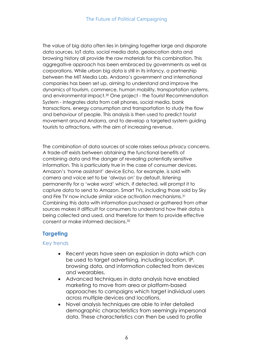The value of big data often lies in bringing together large and disparate data sources. IoT data, social media data, geolocation data and browsing history all provide the raw materials for this combination. This aggregative approach has been embraced by governments as well as corporations. While urban big data is still in its infancy, a partnership between the MIT Media Lab, Andorra's government and international companies has been set up, aiming to understand and improve the dynamics of tourism, commerce, human mobility, transportation systems, and environmental impact. <sup>30</sup> One project - the Tourist Recommendation System - integrates data from cell phones, social media, bank transactions, energy consumption and transportation to study the flow and behaviour of people. This analysis is then used to predict tourist movement around Andorra, and to develop a targeted system guiding tourists to attractions, with the aim of increasing revenue.

The combination of data sources at scale raises serious privacy concerns. A trade-off exists between obtaining the functional benefits of combining data and the danger of revealing potentially sensitive information. This is particularly true in the case of consumer devices. Amazon's 'home assistant' device Echo, for example, is sold with camera and voice set to be 'always on' by default, listening permanently for a 'wake word' which, if detected, will prompt it to capture data to send to Amazon. Smart TVs, including those sold by Sky and Fire TV now include similar voice activation mechanisms. 31 Combining this data with information purchased or gathered from other sources makes it difficult for consumers to understand how their data is being collected and used, and therefore for them to provide effective consent or make informed decisions. 32

## **Targeting**

## Key trends

- Recent years have seen an explosion in data which can be used to target advertising, including location, IP, browsing data, and information collected from devices and wearables.
- Advanced techniques in data analysis have enabled marketing to move from area or platform-based approaches to campaigns which target individual users across multiple devices and locations.
- Novel analysis techniques are able to infer detailed demographic characteristics from seemingly impersonal data. These characteristics can then be used to profile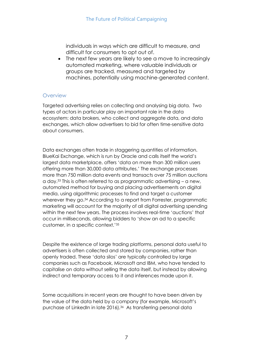individuals in ways which are difficult to measure, and difficult for consumers to opt out of.

• The next few years are likely to see a move to increasingly automated marketing, where valuable individuals or groups are tracked, measured and targeted by machines, potentially using machine-generated content.

## **Overview**

Targeted advertising relies on collecting and analysing big data. Two types of actors in particular play an important role in the data ecosystem: data brokers, who collect and aggregate data, and data exchanges, which allow advertisers to bid for often time-sensitive data about consumers.

Data exchanges often trade in staggering quantities of information. BlueKai Exchange, which is run by Oracle and calls itself the world's largest data marketplace, offers 'data on more than 300 million users offering more than 30,000 data attributes.' The exchange processes more than 750 million data events and transacts over 75 million auctions a day.<sup>33</sup> This is often referred to as programmatic advertising – a new, automated method for buying and placing advertisements on digital media, using algorithmic processes to find and target a customer wherever they go.<sup>34</sup> According to a report from Forrester, programmatic marketing will account for the majority of all digital advertising spending within the next few years. The process involves real-time 'auctions' that occur in milliseconds, allowing bidders to 'show an ad to a specific customer, in a specific context.'<sup>35</sup>

Despite the existence of large trading platforms, personal data useful to advertisers is often collected and stored by companies, rather than openly traded. These 'data silos' are typically controlled by large companies such as Facebook, Microsoft and IBM, who have tended to capitalise on data without selling the data itself, but instead by allowing indirect and temporary access to it and inferences made upon it.

Some acquisitions in recent years are thought to have been driven by the value of the data held by a company (for example, Microsoft's purchase of LinkedIn in late 2016).<sup>36</sup> As transferring personal data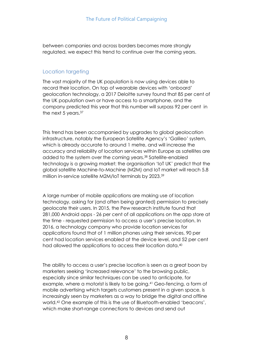between companies and across borders becomes more strongly regulated, we expect this trend to continue over the coming years.

## Location targeting

The vast majority of the UK population is now using devices able to record their location. On top of wearable devices with 'onboard' geolocation technology, a [2017 Deloitte survey](https://www2.deloitte.com/uk/en/pages/press-releases/articles/uk-public-glued-to-smartphones.html) found that 85 per cent of the UK population own or have access to a smartphone, and the company predicted this year that this number will surpass 92 per cent in the next 5 years.<sup>37</sup>

This trend has been accompanied by upgrades to global geolocation infrastructure, notably the European Satellite Agency's ['Galileo'](https://www.esa.int/Our_Activities/Navigation/Galileo/What_is_Galileo) system, which is already accurate to around 1 metre, and will increase the accuracy and reliability of location services within Europe as satellites are added to the system over the coming years.<sup>38</sup> Satellite-enabled technology is a growing market: the organisation 'IoT UK' predict that the global satellite Machine-to-Machine (M2M) and IoT market will reach 5.8 million in-service satellite M2M/IoT terminals by 2023.<sup>39</sup>

A large number of mobile applications are making use of location technology, asking for (and often being granted) permission to precisely geolocate their users. In 2015, the Pew research institute found that 281,000 Android apps - 26 per cent of all applications on the app store at the time - requested permission to access a user's precise location. In 2016, a technology company who provide location services for applications found that of 1 million phones using their services, 90 per cent had location services enabled at the device level, and 52 per cent had allowed the applications to access their location data.<sup>40</sup>

The ability to access a user's precise location is seen as a great boon by marketers seeking 'increased relevance' to the browsing public, especially since similar techniques can be used to anticipate, for example, where a motorist is likely to be going.<sup>41</sup> Geo-fencing, a form of mobile advertising which targets customers present in a given space, is increasingly seen by marketers as a way to bridge the digital and offline world.<sup>42</sup> One example of this is the use of Bluetooth-enabled 'beacons', which make short-range connections to devices and send out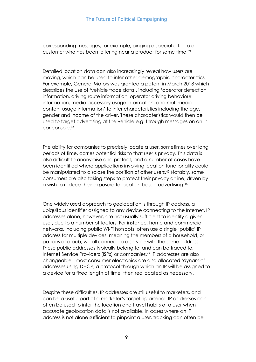corresponding messages; for example, pinging a special offer to a customer who has been loitering near a product for some time.<sup>43</sup>

Detailed location data can also increasingly reveal how users are moving, which can be used to infer other demographic characteristics. For example, General Motors was granted a patent in March 2018 which describes the use of 'vehicle trace data', including 'operator detection information, driving route information, operator driving behaviour information, media accessory usage information, and multimedia content usage information' to infer characteristics including the age, gender and income of the driver. These characteristics would then be used to target advertising at the vehicle e.g. through messages on an incar console.<sup>44</sup>

The ability for companies to precisely locate a user, sometimes over long periods of time, carries potential risks to that user's privacy. This data is also difficult to anonymise and protect, and a number of cases have been identified where applications involving location functionality could be manipulated to disclose the position of other users.<sup>45</sup> Notably, some consumers are also taking steps to protect their privacy online, driven by a wish to reduce their exposure to location-based advertising.<sup>46</sup>

One widely used approach to geolocation is through IP address, a ubiquitous identifier assigned to any device connecting to the Internet. IP addresses alone, however, are not usually sufficient to identify a given user, due to a number of factors. For instance, home and commercial networks, including public Wi-Fi hotspots, often use a single 'public' IP address for multiple devices, meaning the members of a household, or patrons of a pub, will all connect to a service with the same address. These public addresses typically belong to, and can be traced to, Internet Service Providers (ISPs) or companies.<sup>47</sup> IP addresses are also changeable - most consumer electronics are also allocated 'dynamic' addresses using [DHCP,](https://en.wikipedia.org/wiki/Dynamic_Host_Configuration_Protocol) a protocol through which an IP will be assigned to a device for a fixed length of time, then reallocated as necessary.

Despite these difficulties, IP addresses are still useful to marketers, and can be a useful part of a marketer's targeting arsenal. IP addresses can often be used to infer the location and travel habits of a user when accurate geolocation data is not available. In cases where an IP address is not alone sufficient to pinpoint a user, tracking can often be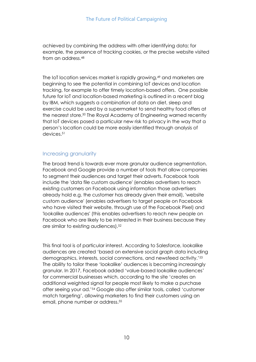achieved by combining the address with other identifying data; for example, the presence of tracking cookies, or the precise website visited from an address.<sup>48</sup>

The IoT location services market is rapidly growing,<sup>49</sup> and marketers are beginning to see the potential in combining IoT devices and location tracking, for example to offer timely location-based offers. One possible future for IoT and location-based marketing is outlined in a recent blog by IBM, which suggests a combination of data on diet, sleep and exercise could be used by a supermarket to send healthy food offers at the nearest store.<sup>50</sup> The Royal Academy of Engineering warned recently that IoT devices posed a particular new risk to privacy in the way that a person's location could be more easily identified through analysis of devices.<sup>51</sup>

## Increasing granularity

The broad trend is towards ever more granular audience segmentation. Facebook and Google provide a number of tools that allow companies to segment their audiences and target their adverts. Facebook tools include the 'data file custom audience' (enables advertisers to reach existing customers on Facebook using information those advertisers already hold e.g. the customer has already given their email), 'website custom audience' (enables advertisers to target people on Facebook who have visited their website, through use of the Facebook Pixel) and 'lookalike audiences' (this enables advertisers to reach new people on Facebook who are likely to be interested in their business because they are similar to existing audiences).<sup>52</sup>

This final tool is of particular interest. According to Salesforce, lookalike audiences are created 'based on extensive social graph data including demographics, interests, social connections, and newsfeed activity.<sup>'53</sup> The ability to tailor these 'lookalike' audiences is becoming increasingly granular. In 2017, Facebook added 'value-based lookalike audiences' for commercial businesses which, according to the site 'creates an additional weighted signal for people most likely to make a purchase after seeing your ad.'<sup>54</sup> Google also offer similar tools, called 'customer match targeting', allowing marketers to find their customers using an email, phone number or address.55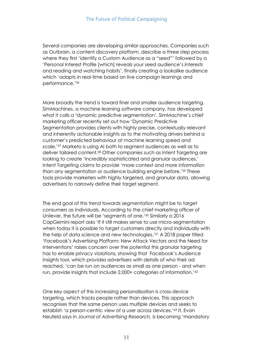Several companies are developing similar approaches. Companies such as Outbrain, a content discovery platform, describe a three step process where they first 'identify a Custom Audience as a "seed"' followed by a 'Personal Interest Profile [which] reveals your seed audience's interests and reading and watching habits', finally creating a lookalike audience which 'adapts in real-time based on live campaign learnings and performance.'<sup>56</sup>

More broadly the trend is toward finer and smaller audience targeting. SimMachines, a machine learning software company, has developed what it calls a **'**dynamic predictive segmentation'. SimMachine's chief marketing officer recently set out how 'Dynamic Predictive Segmentation provides clients with highly precise, contextually relevant and inherently actionable insights as to the motivating drivers behind a customer's predicted behaviour at machine learning speed and scale.'<sup>57</sup> Marketo is using AI both to segment audiences as well as to deliver tailored content.<sup>58</sup> Other companies such as Intent Targeting are looking to create 'incredibly sophisticated and granular audiences.' Intent Targeting claims to provide 'more context and more information than any segmentation or audience building engine before.'<sup>59</sup> These tools provide marketers with highly targeted, and granular data, allowing advertisers to narrowly define their target segment.

The end goal of this trend towards segmentation might be to target consumers as individuals. According to the chief marketing officer of Unilever, the future will be 'segments of one.'<sup>60</sup> Similarly a 2016 CapGemini report asks 'if it still makes sense to use micro-segmentation when today it is possible to target customers directly and individually with the help of data science and new technologies.'<sup>61</sup> A 2018 paper titled 'Facebook's Advertising Platform: New Attack Vectors and the Need for Interventions' raises concern over the potential this granular targeting has to enable privacy violations, showing that Facebook's Audience Insights tool, which provides advertisers with details of who their ad reached, 'can be run on audiences as small as one person - and when run, provide insights that include 2,000+ categories of information.'<sup>62</sup>

One key aspect of this increasing personalisation is cross-device targeting, which tracks people rather than devices. This approach recognises that the same person uses multiple devices and seeks to establish 'a person-centric view of a user across devices.'<sup>63</sup> It, Evan Neufeld says in *Journal of Advertising Research,* is becoming 'mandatory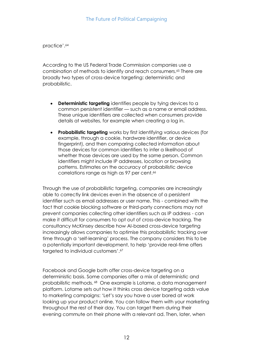practice'.<sup>64</sup>

According to the US Federal Trade Commission companies use a combination of methods to identify and reach consumers.<sup>65</sup> There are broadly two types of cross-device targeting: deterministic and probabilistic.

- **Deterministic targeting** identifies people by tying devices to a common persistent identifier — such as a name or email address. These unique identifiers are collected when consumers provide details at websites, for example when creating a log in.
- **Probabilistic targeting** works by first identifying various devices (for example, through a cookie, hardware identifier, or device fingerprint), and then comparing collected information about those devices for common identifiers to infer a likelihood of whether those devices are used by the same person. Common identifiers might include IP addresses, location or browsing patterns. Estimates on the accuracy of probabilistic device correlations range as high as 97 per cent.<sup>66</sup>

Through the use of probabilistic targeting, companies are increasingly able to correctly link devices even in the absence of a persistent identifier such as email addresses or user name. This - combined with the fact that cookie blocking software or third-party connections may not prevent companies collecting other identifiers such as IP address - can make it difficult for consumers to opt out of cross-device tracking. The consultancy McKinsey describe how AI-based cross-device targeting increasingly allows companies to optimise this probabilistic tracking over time through a 'self-learning' process. The company considers this to be a potentially important development, to help 'provide real-time offers targeted to individual customers'.<sup>67</sup>

Facebook and Google both offer cross-device targeting on a deterministic basis. Some companies offer a mix of deterministic and probabilistic methods. <sup>68</sup> One example is Lotame, a data management platform. Lotame sets out how it thinks cross device targeting adds value to marketing campaigns: 'Let's say you have a user bored at work looking up your product online. You can follow them with your marketing throughout the rest of their day. You can target them during their evening commute on their phone with a relevant ad. Then, later, when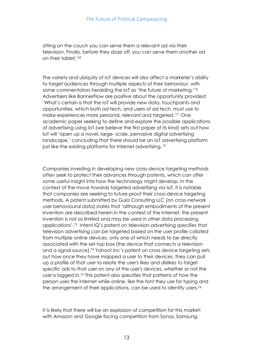sitting on the couch you can serve them a relevant ad via their television. Finally, before they doze off, you can serve them another ad on their tablet.'<sup>69</sup>

The variety and ubiquity of IoT devices will also affect a marketer's ability to target audiences through multiple aspects of their behaviour, with some commentators heralding the IoT as 'the future of marketing.'<sup>70</sup> Advertisers like BannerFlow are positive about the opportunity provided: 'What's certain is that the IoT will provide new data, touchpoints and opportunities, which both ad tech, and users of ad tech, must use to make experiences more personal, relevant and [targeted.](http://hub.bannerflow.com/marketing/11-awesome-ideas-for-your-next-retargeting-ad-campaign)' <sup>71</sup> One academic paper seeking to define and explore the possible applications of advertising using IoT (we believe the first paper of its kind) sets out how IoT will 'open up a novel, large- scale, pervasive digital advertising landscape,' concluding that there should be an IoT advertising platform just like the existing platforms for internet advertising.<sup>72</sup>

Companies investing in developing new cross-device targeting methods often seek to protect their advances through patents, which can offer some useful insight into how the technology might develop. In the context of the move towards targeted advertising via IoT, it is notable that companies are seeking to future-proof their cross-device targeting methods. A patent submitted by Gula Consulting LLC (on cross-network user behavioural data) states that 'although embodiments of the present invention are described herein in the context of the Internet, the present invention is not so limited and may be used in other data processing applications'.<sup>73</sup> Intent IQ's patent on television advertising specifies that television advertising can be targeted based on the user profile collated from multiple online devices, only one of which needs to be directly associated with the set-top box (the device that connects a television and a signal source).<sup>74</sup> Yahoo! Inc's patent on cross device targeting sets out how once they have mapped a user to their devices, they can pull up a profile of that user to relate the user's likes and dislikes to target specific ads to that user on any of the user's devices, whether or not the user is logged in.<sup>75</sup> This patent also specifies that patterns of how the person uses the internet while online, like the font they use for typing and the arrangement of their applications, can be used to identify users.<sup>76</sup>

It is likely that there will be an explosion of competition for this market: with Amazon and Google facing competition from Sonos, Samsung,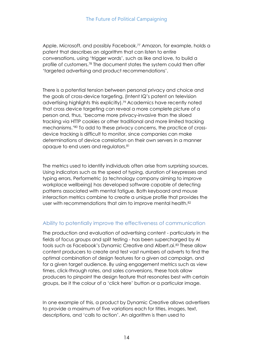Apple, Microsoft, and possibly Facebook.<sup>77</sup> Amazon, for example, holds a patent that describes an algorithm that can listen to entire conversations, using 'trigger words', such as like and love, to build a profile of customers.<sup>78</sup> The document states the system could then offer 'targeted advertising and product recommendations'.

There is a potential tension between personal privacy and choice and the goals of cross-device targeting. (Intent IQ's patent on television advertising highlights this explicitly). <sup>79</sup> Academics have recently noted that cross device targeting can reveal a more complete picture of a person and, thus, 'become more privacy-invasive than the siloed tracking via HTTP cookies or other traditional and more limited tracking mechanisms.'<sup>80</sup> To add to these privacy concerns, the practice of crossdevice tracking is difficult to monitor, since companies can make determinations of device correlation on their own servers in a manner opaque to end users and regulators.<sup>81</sup>

The metrics used to identify individuals often arise from surprising sources. Using indicators such as the speed of typing, duration of keypresses and typing errors, Performetric (a technology company aiming to improve workplace wellbeing) has developed software capable of detecting patterns associated with mental fatigue. Both keyboard and mouse interaction metrics combine to create a unique profile that provides the user with recommendations that aim to improve mental health.<sup>82</sup>

## Ability to potentially improve the effectiveness of communication

The production and evaluation of advertising content - particularly in the fields of focus groups and split testing - has been supercharged by AI tools such as Facebook's Dynamic Creative and Albert.ai.<sup>83</sup> These allow content producers to create and test vast numbers of adverts to find the optimal combination of design features for a given ad campaign, and for a given target audience. By using engagement metrics such as view times, click-through rates, and sales conversions, these tools allow producers to pinpoint the design feature that resonates best with certain groups, be it the colour of a 'click here' button or a particular image.

In one example of this, a product by Dynamic Creative allows advertisers to provide a maximum of five variations each for titles, images, text, descriptions, and 'calls to action'. An algorithm is then used to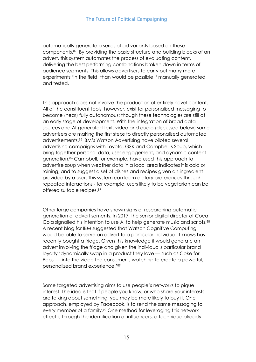automatically generate a series of ad variants based on these components.<sup>84</sup> By providing the basic structure and building blocks of an advert, this system automates the process of evaluating content, delivering the best performing combinations broken down in terms of audience segments. This allows advertisers to carry out many more experiments 'in the field' than would be possible if manually generated and tested.

This approach does not involve the production of entirely novel content. All of the constituent tools, however, exist for personalised messaging to become (near) fully autonomous; though these technologies are still at an early stage of development. With the integration of broad data sources and AI-generated text, video and audio (discussed below) some advertisers are making the first steps to directly personalised automated advertisements.<sup>85</sup> IBM's Watson Advertising have piloted several advertising campaigns with Toyota, GSK and Campbell's Soup, which bring together personal data, user engagement, and dynamic content generation.<sup>86</sup> Campbell, for example, have used this approach to advertise soup when weather data in a local area indicates it is cold or raining, and to suggest a set of dishes and recipes given an ingredient provided by a user. This system can learn dietary preferences through repeated interactions - for example, users likely to be vegetarian can be offered suitable recipes.<sup>87</sup>

Other large companies have shown signs of researching automatic generation of advertisements. In 2017, the senior digital director of Coca Cola signalled his intention to use AI to help generate music and scripts.<sup>88</sup> A recent blog for IBM suggested that Watson Cognitive Computing would be able to serve an advert to a particular individual it knows has recently bought a fridge. Given this knowledge it would generate an advert involving the fridge and given the individual's particular brand loyalty 'dynamically swap in a product they love — such as Coke for Pepsi — into the video the consumer is watching to create a powerful, personalized brand experience.' 89

Some targeted advertising aims to use people's networks to pique interest. The idea is that if people you know, or who share your interests are talking about something, you may be more likely to buy it. One approach, employed by Facebook, is to send the same messaging to every member of a family.<sup>90</sup> One method for leveraging this network effect is through the identification of influencers, a technique already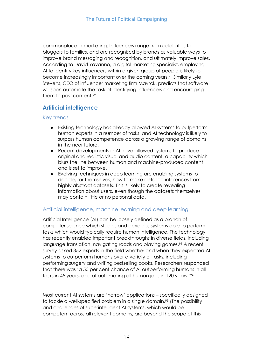commonplace in marketing. Influencers range from celebrities to bloggers to families, and are recognised by brands as valuable ways to improve brand messaging and recognition, and ultimately improve sales. According to David Yavanno, a digital marketing specialist, employing AI to identity key influencers within a given group of people is likely to become increasingly important over the coming years.<sup>91</sup> Similarly Lyle Stevens, CEO of influencer marketing firm Mavrck, predicts that software will soon automate the task of identifying influencers and encouraging them to post content.<sup>92</sup>

## **Artificial intelligence**

#### Key trends

- Existing technology has already allowed AI systems to outperform human experts in a number of tasks, and AI technology is likely to surpass human competence across a growing range of domains in the near future.
- Recent developments in AI have allowed systems to produce original and realistic visual and audio content, a capability which blurs the line between human and machine-produced content, and is set to improve.
- Evolving techniques in deep learning are enabling systems to decide, for themselves, how to make detailed inferences from highly abstract datasets. This is likely to create revealing information about users, even though the datasets themselves may contain little or no personal data.

## Artificial intelligence, machine learning and deep learning

Artificial Intelligence (AI) can be loosely defined as a branch of computer science which studies and develops systems able to perform tasks which would typically require human intelligence. The technology has recently enabled important breakthroughs in diverse fields, including language translation, navigating roads and playing games.<sup>93</sup> A recent survey asked 352 experts in the field whether and when they expected AI systems to outperform humans over a variety of tasks, including performing surgery and writing bestselling books. Researchers responded that there was 'a 50 per cent chance of AI outperforming humans in all tasks in 45 years, and of automating all human jobs in 120 years.'<sup>94</sup>

Most current AI systems are 'narrow' applications – specifically designed to tackle a well-specified problem in a single domain.<sup>95</sup> (The possibility and challenges of superintelligent AI systems, which would be competent across all relevant domains, are beyond the scope of this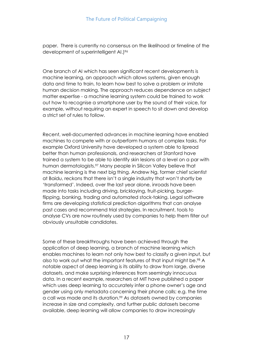paper. There is currently no consensus on the likelihood or timeline of the development of superintelligent AI.)<sup>96</sup>

One branch of AI which has seen significant recent developments is machine learning, an approach which allows systems, given enough data and time to train, to learn how best to solve a problem or imitate human decision making. The approach reduces dependence on subject matter expertise - a machine learning system could be trained to work out how to recognise a smartphone user by the sound of their voice, for example, without requiring an expert in speech to sit down and develop a strict set of rules to follow.

Recent, well-documented advances in machine learning have enabled machines to compete with or outperform humans at complex tasks. For example Oxford University have developed a system able to lipread better than human professionals, and researchers at Stanford have trained a system to be able to identify skin lesions at a level on a par with human dermatologists.<sup>97</sup> Many people in Silicon Valley believe that machine learning is the next big thing. Andrew Ng, former chief scientist at Baidu, reckons that there isn't a single industry that won't shortly be 'transformed'. Indeed, over the last year alone, inroads have been made into tasks including driving, bricklaying, fruit-picking, burgerflipping, banking, trading and automated stock-taking. Legal software firms are developing statistical prediction algorithms that can analyse past cases and recommend trial strategies. In recruitment, tools to analyse CVs are now routinely used by companies to help them filter out obviously unsuitable candidates.

Some of these breakthroughs have been achieved through the application of deep learning, a branch of machine learning which enables machines to learn not only how best to classify a given input, but also to work out what the important features of that input might be.<sup>98</sup> A notable aspect of deep learning is its ability to draw from large, diverse datasets, and make surprising inferences from seemingly innocuous data. In a recent example, researchers at MIT have [p](https://academic.microsoft.com/#/detail/2769720823)ublished a paper which uses deep learning to accurately infer a phone owner's age and gender using only metadata concerning their phone calls; e.g. the time a call was made and its duration.<sup>99</sup> As datasets owned by companies increase in size and complexity, and further public datasets become available, deep learning will allow companies to draw increasingly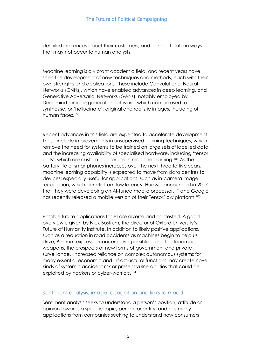detailed inferences about their customers, and connect data in ways that may not occur to human analysts.

Machine learning is a vibrant academic field, and recent years have seen the development of new techniques and methods, each with their own strengths and applications. These include Convolutional Neural Networks (CNNs), which have enabled advances in deep learning, and Generative Adversarial Networks (GANs), notably employed by Deepmind's image generation software, which can be used to synthesise, or 'hallucinate', original and realistic images, including of human faces.<sup>100</sup>

Recent advances in this field are expected to accelerate development. These include improvements in unsupervised learning techniques, which remove the need for systems to be trained on large sets of labelled data, and the increasing availability of specialised hardware, including 'tensor units', which are custom built for use in machine learning.<sup>101</sup> As the battery life of smartphones increases over the next three to five years, machine learning capability is expected to move from data centres to devices; especially useful for applications, such as in-camera image recognition, which benefit from low latency. Huawei announced in 2017 that they were developing an AI-tuned mobile processor,<sup>102</sup> and Google has recently released a mobile version of their TensorFlow platform.<sup>103</sup>

Possible future applications for AI are diverse and contested. A good overview is given by Nick Bostrum, the director of Oxford University's Future of Humanity Institute. In addition to likely positive applications, such as a reduction in road accidents as machines begin to help us drive, Bostrum expresses concern over possible uses of autonomous weapons, the prospects of new forms of government and private surveillance. Increased reliance on complex autonomous systems for many essential economic and infrastructural functions may create novel kinds of systemic accident risk or present vulnerabilities that could be exploited by hackers or cyber-warriors.<sup>104</sup>

## Sentiment analysis, image recognition and links to mood

Sentiment analysis seeks to understand a person's position, attitude or opinion towards a specific topic, person, or entity, and has many applications from companies seeking to understand how consumers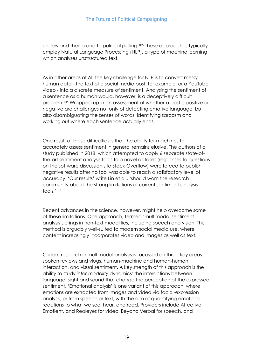understand their brand to political polling.<sup>105</sup> These approaches typically employ Natural Language Processing (NLP), a type of machine learning which analyses unstructured text.

As in other areas of AI, the key challenge for NLP is to convert messy human data - the text of a social media post, for example, or a YouTube video - into a discrete measure of sentiment. Analysing the sentiment of a sentence as a human would, however, is a deceptively difficult problem.<sup>106</sup> Wrapped up in an assessment of whether a post is positive or negative are challenges not only of detecting emotive language, but also disambiguating the senses of words, identifying sarcasm and working out where each sentence actually ends.

One result of these difficulties is that the ability for machines to accurately assess sentiment in general remains elusive. The authors of a study published in 2018, which attempted to apply 6 separate state-ofthe-art sentiment analysis tools to a novel dataset (responses to questions on the software discussion site Stack Overflow) were forced to publish negative results after no tool was able to reach a satisfactory level of accuracy. 'Our results' write Lin et al., 'should warn the research community about the strong limitations of current sentiment analysis tools.'<sup>107</sup>

Recent advances in the science, however, might help overcome some of these limitations. One approach, termed 'multimodal sentiment analysis', brings in non-text modalities, including speech and vision. This method is arguably well-suited to modern social media use, where content increasingly incorporates video and images as well as text.

Current research in multimodal analysis is focussed on three key areas: spoken reviews and vlogs, human-machine and human-human interaction, and visual sentiment. A key strength of this approach is the ability to study *inter-modality* dynamics: the interactions between language, sight and sound that change the perception of the expressed sentiment. 'Emotional analysis' is one variant of this approach, where emotions are extracted from images and video via facial-expression analysis, or from speech or text, with the aim of quantifying emotional reactions to what we see, hear, and read. Providers include Affectiva, Emotient, and Realeyes for video, Beyond Verbal for speech, and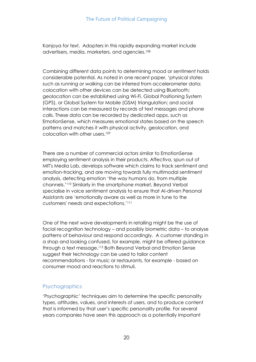Kanjoya for text. Adopters in this rapidly expanding market include advertisers, media, marketers, and agencies.<sup>108</sup>

Combining different data points to determining mood or sentiment holds considerable potential. As noted in one recent paper, 'physical states such as running or walking can be inferred from accelerometer data; colocation with other devices can be detected using Bluetooth; geolocation can be established using Wi-Fi, Global Positioning System (GPS), or Global System for Mobile (GSM) triangulation; and social interactions can be measured by records of text messages and phone calls. These data can be recorded by dedicated apps, such as EmotionSense, which measures emotional states based on the speech patterns and matches it with physical activity, geolocation, and colocation with other users.<sup>109</sup>

There are a number of commercial actors similar to EmotionSense employing sentiment analysis in their products. Affectiva, spun out of MIT's Media Lab, develops software which claims to track sentiment and emotion-tracking, and are moving towards fully multimodal sentiment analysis, detecting emotion 'the way humans do, from multiple channels.'<sup>110</sup> Similarly in the smartphone market, Beyond Verbal specialise in voice sentiment analysis to ensure that AI-driven Personal Assistants are 'emotionally aware as well as more in tune to the customers' needs and expectations.'<sup>111</sup>

One of the next wave developments in retailing might be the use of facial recognition technology – and possibly biometric data – to analyse patterns of behaviour and respond accordingly. A customer standing in a shop and looking confused, for example, might be offered guidance through a text message.<sup>112</sup> Both Beyond Verbal and Emotion Sense suggest their technology can be used to tailor content recommendations - for music or restaurants, for example - based on consumer mood and reactions to stimuli.

## **Psychographics**

'Psychographic' techniques aim to determine the specific personality types, attitudes, values, and interests of users, and to produce content that is informed by that user's specific personality profile. For several years companies have seen this approach as a potentially important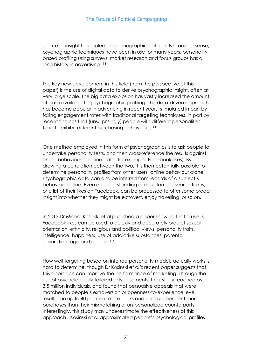source of insight to supplement demographic data. In its broadest sense, psychographic techniques have been in use for many years; personality based profiling using surveys, market research and focus groups has a long history in advertising.<sup>113</sup>

The key new development in this field (from the perspective of this paper) is the use of digital data to derive psychographic insight, often at very large scale. The big data explosion has vastly increased the amount of data available for psychographic profiling. This data-driven approach has become popular in advertising in recent years, stimulated in part by falling engagement rates with traditional targeting techniques, in part by recent findings that (unsurprisingly) people with different personalities tend to exhibit different purchasing behaviours.<sup>114</sup>

One method employed in this form of psychographics is to ask people to undertake personality tests, and then cross-reference the results against online behaviour or online data (for example, Facebook likes). By drawing a correlation between the two, it is then potentially possible to determine personality profiles from other users' online behaviour alone. Psychographic data can also be inferred from records of a subject's behaviour online. Even an understanding of a customer's search terms, or a list of their likes on Facebook, can be processed to offer some broad insight into whether they might be extrovert, enjoy travelling, or so on.

In 2013 Dr Michal Kosinski et al published a paper showing that a user's Facebook likes can be used to quickly and accurately predict sexual orientation, ethnicity, religious and political views, personality traits, intelligence, happiness, use of addictive substances, parental separation, age and gender.<sup>115</sup>

How well targeting based on inferred personality models actually works is hard to determine, though Dr Kosinski *et al's* recent paper suggests that this approach can improve the performance of marketing. Through the use of psychologically tailored advertisements, their study reached over 3.5 million individuals, and found that persuasive appeals that were matched to people's extraversion or openness-to-experience level resulted in up to 40 per cent more clicks and up to 50 per cent more purchases than their mismatching or un-personalized counterparts. Interestingly, this study may underestimate the effectiveness of this approach - Kosinski *et al* approximated people's psychological profiles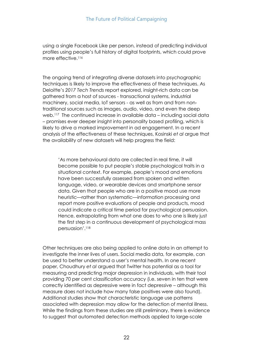using a single Facebook Like per person, instead of predicting individual profiles using people's full history of digital footprints, which could prove more effective.<sup>116</sup>

The ongoing trend of integrating diverse datasets into psychographic techniques is likely to improve the effectiveness of these techniques. As Deloitte's *2017 Tech Trends* report explored, insight-rich data can be gathered from a host of sources - transactional systems, industrial machinery, social media, IoT sensors - as well as from and from nontraditional sources such as images, audio, video, and even the deep web.<sup>117</sup> The continued increase in available data – including social data – promises ever deeper insight into personality based profiling, which is likely to drive a marked improvement in ad engagement. In a recent analysis of the effectiveness of these techniques, Kosinski *et al* argue that the availability of new datasets will help progress the field:

'As more behavioural data are collected in real time, it will become possible to put people's stable psychological traits in a situational context. For example, people's mood and emotions have been successfully assessed from spoken and written language, video, or wearable devices and smartphone sensor data. Given that people who are in a positive mood use more heuristic—rather than systematic—information processing and report more positive evaluations of people and products, mood could indicate a critical time period for psychological persuasion. Hence, extrapolating from what one does to who one is likely just the first step in a continuous development of psychological mass persuasion'.<sup>118</sup>

Other techniques are also being applied to online data in an attempt to investigate the inner lives of users. Social media data, for example, can be used to better understand a user's mental health. In one recent paper, Choudhury *et al* argued that Twitter has potential as a tool for measuring and predicting major depression in individuals, with their tool providing 70 per cent classification accuracy (i.e. seven in ten that were correctly identified as depressive were in fact depressive – although this measure does not include how many false positives were also found). Additional studies show that characteristic language use patterns associated with depression may allow for the detection of mental illness. While the findings from these studies are still preliminary, there is evidence to suggest that automated detection methods applied to large-scale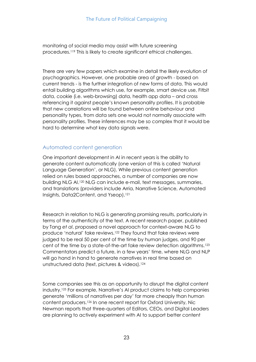monitoring of social media may assist with future screening procedures.<sup>119</sup> This is likely to create significant ethical challenges.

There are very few papers which examine in detail the likely evolution of psychographics. However, one probable area of growth - based on current trends - is the further integration of new forms of data. This would entail building algorithms which use, for example, smart device use, Fitbit data, cookie (i.e. web-browsing) data, health app data – and cross referencing it against people's known personality profiles. It is probable that new correlations will be found between online behaviour and personality types, from data sets one would not normally associate with personality profiles. These inferences may be so complex that it would be hard to determine what key data signals were.

## Automated content generation

One important development in AI in recent years is the ability to generate content automatically (one version of this is called 'Natural Language Generation', or NLG). While previous content generation relied on rules based approaches, a number of companies are now building NLG AI.<sup>120</sup> NLG can include e-mail, text messages, summaries, and translations (providers include Arria, Narrative Science, Automated Insights, Data2Content, and Yseop).<sup>121</sup>

Research in relation to NLG is generating promising results, particularly in terms of the authenticity of the text. A recent research paper, published by Tang *et al*, proposed a novel approach for context-aware NLG to produce 'natural' fake reviews.<sup>122</sup> They found that fake reviews were judged to be real 50 per cent of the time by human judges, and 90 per cent of the time by a state-of-the-art fake review detection algorithms.<sup>123</sup> Commentators predict a future, in a few years' time, where NLG and NLP will go hand in hand to generate narratives in real time based on unstructured data (text, pictures & videos).<sup>124</sup>

Some companies see this as an opportunity to disrupt the digital content industry.<sup>125</sup> For example, Narrative's AI product claims to help companies generate 'millions of narratives per day' far more cheaply than human content producers.<sup>126</sup> In one recent report for Oxford University, Nic Newman reports that three-quarters of Editors, CEOs, and Digital Leaders are planning to actively experiment with AI to support better content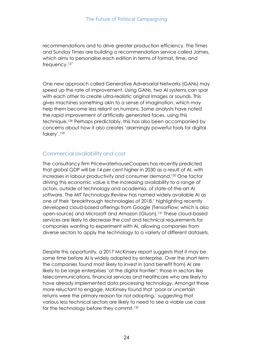recommendations and to drive greater production efficiency. The Times and Sunday Times are building a recommendation service called James, which aims to personalise each edition in terms of format, time, and frequency.<sup>127</sup>

One new approach called Generative Adversarial Networks (GANs) may speed up the rate of improvement. Using GANs, two AI systems can spar with each other to create ultra-realistic original images or sounds. This gives machines something akin to a sense of imagination, which may help them become less reliant on humans. Some analysts have noted the rapid improvement of artificially generated faces, using this technique.128 Perhaps predictably, this has also been accompanied by concerns about how it also creates 'alarmingly powerful tools for digital fakery'.<sup>129</sup>

## Commercial availability and cost

The consultancy firm PricewaterhouseCoopers has recently predicted that global GDP will be 14 per cent higher in 2030 as a result of AI, with increases in labour productivity and consumer demand.<sup>130</sup> One factor driving this economic value is the increasing availability to a range of actors, outside of technology and academia, of state-of-the-art AI software. The *MIT Technology Review* has named widely available AI as one of their 'breakthrough technologies of 2018,' highlighting recently developed cloud-based offerings from Google (TensorFlow; which is also open-source) and Microsoft and Amazon (Gluon).<sup>131</sup> These cloud-based services are likely to decrease the cost and technical requirements for companies wanting to experiment with AI, allowing companies from diverse sectors to apply the technology to a variety of different datasets.

Despite this opportunity, a 2017 McKinsey report suggests that it may be some time before AI is widely adopted by enterprise. Over the short term the companies found most likely to invest in (and benefit from) AI are likely to be large enterprises 'at the digital frontier'; those in sectors like telecommunications, financial services and healthcare who are likely to have already implemented data processing technology. Amongst those more reluctant to engage, McKinsey found that 'poor or uncertain returns were the primary reason for not adopting,' suggesting that various less technical sectors are likely to need to see a viable use case for the technology before they commit.<sup>132</sup>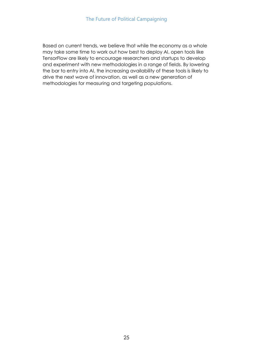Based on current trends, we believe that while the economy as a whole may take some time to work out how best to deploy AI, open tools like TensorFlow are likely to encourage researchers and startups to develop and experiment with new methodologies in a range of fields. By lowering the bar to entry into AI, the increasing availability of these tools is likely to drive the next wave of innovation, as well as a new generation of methodologies for measuring and targeting populations.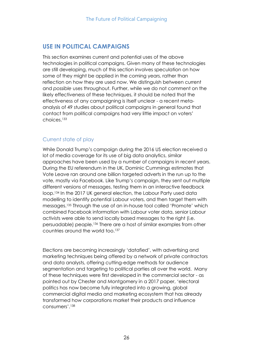## **USE IN POLITICAL CAMPAIGNS**

This section examines current and potential uses of the above technologies in political campaigns. Given many of these technologies are still developing, much of this section involves speculation on how some of they might be applied in the coming years, rather than reflection on how they are used now. We distinguish between current and *possible* uses throughout. Further, while we do not comment on the likely effectiveness of these techniques, it should be noted that the effectiveness of any campaigning is itself unclear - a recent metaanalysis of 49 studies about political campaigns in general found that contact from political campaigns had very little impact on voters' choices.<sup>133</sup>

## Current state of play

While Donald Trump's campaign during the 2016 US election received a lot of media coverage for its use of big data analytics, similar approaches have been used by a number of campaigns in recent years. During the EU referendum in the UK, Dominic Cummings estimates that Vote Leave ran around one billion targeted adverts in the run up to the vote, mostly via Facebook. Like Trump's campaign, they sent out multiple different versions of messages, testing them in an interactive feedback loop.<sup>134</sup> In the 2017 UK general election, the Labour Party used data modelling to identify potential Labour voters, and then target them with messages.<sup>135</sup> Through the use of an in-house tool called 'Promote' which combined Facebook information with Labour voter data, senior Labour activists were able to send locally based messages to the right (i.e. persuadable) people.<sup>136</sup> There are a host of similar examples from other countries around the world too.<sup>137</sup>

Elections are becoming increasingly 'datafied', with advertising and marketing techniques being offered by a network of private contractors and data analysts, offering cutting-edge methods for audience segmentation and targeting to political parties all over the world. Many of these techniques were first developed in the commercial sector - as pointed out by Chester and Montgomery in a 2017 paper, 'electoral politics has now become fully integrated into a growing, global commercial digital media and marketing ecosystem that has already transformed how corporations market their products and influence consumers'.138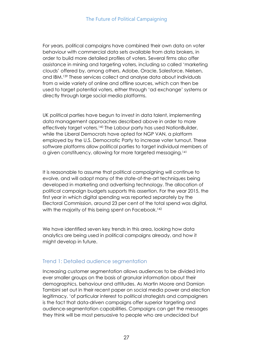For years, political campaigns have combined their own data on voter behaviour with commercial data sets available from data brokers, in order to build more detailed profiles of voters. Several firms also offer assistance in mining and targeting voters, including so called 'marketing clouds' offered by, among others, Adobe, Oracle, Salesforce, Nielsen, and IBM.<sup>139</sup> These services collect and analyse data about individuals from a wide variety of online and offline sources, which can then be used to target potential voters, either through 'ad exchange' systems or directly through large social media platforms.

UK political parties have begun to invest in data talent, implementing data management approaches described above in order to more effectively target voters.<sup>140</sup> The Labour party has used NationBuilder, while the Liberal Democrats have opted for NGP VAN, a platform employed by the U.S. Democratic Party to increase voter turnout. These software platforms allow political parties to target individual members of a given constituency, allowing for more targeted messaging.<sup>141</sup>

It is reasonable to assume that political campaigning will continue to evolve, and will adopt many of the state-of-the-art techniques being developed in marketing and advertising technology. The allocation of political campaign budgets supports this assertion. For the year 2015, the first year in which digital spending was reported separately by the Electoral Commission, around 23 per cent of the total spend was digital, with the majority of this being spent on Facebook.<sup>142</sup>

We have identified seven key trends in this area, looking how data analytics are being used in political campaigns already, and how it might develop in future.

## Trend 1: Detailed audience segmentation

Increasing customer segmentation allows audiences to be divided into ever smaller groups on the basis of granular information about their demographics, behaviour and attitudes. As Martin Moore and Damian Tambini set out in their recent paper on social media power and election legitimacy, 'of particular interest to political strategists and campaigners is the fact that data-driven campaigns offer superior targeting and audience-segmentation capabilities. Campaigns can get the messages they think will be most persuasive to people who are undecided but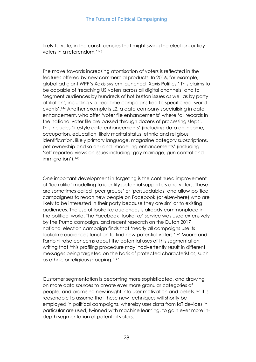likely to vote, in the constituencies that might swing the election, or key voters in a referendum.'<sup>143</sup>

The move towards increasing atomisation of voters is reflected in the features offered by new commercial products. In 2016, for example, global ad giant WPP's Xaxis system launched 'Xaxis Politics.' This claims to be capable of 'reaching US voters across all digital channels' and to 'segment audiences by hundreds of hot button issues as well as by party affiliation', including via 'real-time campaigns tied to specific real-world events'.<sup>144</sup> Another example is L2, a data company specialising in data enhancement, who offer 'voter file enhancements' where 'all records in the national voter file are passed through dozens of processing steps'. This includes 'lifestyle data enhancements' (including data on income, occupation, education, likely marital status, ethnic and religious identification, likely primary language, magazine category subscriptions, pet ownership and so on) and 'modelling enhancements' (including 'self-reported views on issues including: gay marriage, gun control and immigration').<sup>145</sup>

One important development in targeting is the continued improvement of 'lookalike' modelling to identify potential supporters and voters. These are sometimes called 'peer groups' or 'persuadables' and allow political campaigners to reach new people on Facebook (or elsewhere) who are likely to be interested in their party because they are similar to existing audiences. The use of lookalike audiences is already commonplace in the political world. The Facebook 'lookalike' service was used extensively by the Trump campaign, and recent research on the Dutch 2017 national election campaign finds that 'nearly all campaigns use its lookalike audiences function to find new potential voters.'<sup>146</sup> Moore and Tambini raise concerns about the potential uses of this segmentation, writing that 'this profiling procedure may inadvertently result in different messages being targeted on the basis of protected characteristics, such as ethnic or religious grouping.'<sup>147</sup>

Customer segmentation is becoming more sophisticated, and drawing on more data sources to create ever more granular categories of people, and promising new insight into user motivation and beliefs.<sup>148</sup> It is reasonable to assume that these new techniques will shortly be employed in political campaigns, whereby user data from IoT devices in particular are used, twinned with machine learning, to gain ever more indepth segmentation of potential voters.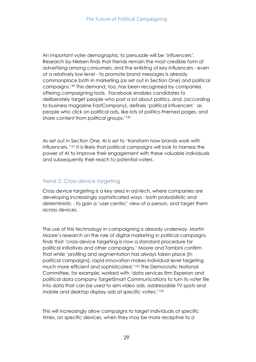An important voter demographic to persuade will be 'influencers'. Research by Nielsen finds that friends remain the most credible form of advertising among consumers, and the enlisting of key influencers - even at a relatively low level - to promote brand messages is already commonplace both in marketing (as set out in Section One) and political campaigns.<sup>149</sup> This demand, too, has been recognised by companies offering campaigning tools. Facebook enables [candidates to](http://www.wired.com/2015/11/facebook-now-lets-candidates-target-election-2016-fanatics/) [deliberately target people who post a lot about politics,](http://www.wired.com/2015/11/facebook-now-lets-candidates-target-election-2016-fanatics/) and, (according to business magazine FastCompany), defines 'political influencers' as people who click on political ads, like lots of politics-themed pages, and share content from political groups.'<sup>150</sup>

As set out in Section One, AI is set to 'transform how brands work with influencers.'<sup>151</sup> It is likely that political campaigns will look to harness the power of AI to improve their engagement with these valuable individuals and subsequently their reach to potential voters.

## Trend 2: Cross device targeting

Cross device targeting is a key area in ad-tech, where companies are developing increasingly sophisticated ways - both probabilistic and deterministic - to gain a 'user centric' view of a person, and target them across devices.

The use of this technology in campaigning is already underway. Martin Moore's research on the role of digital marketing in political campaigns finds that 'cross-device targeting is now a standard procedure for political initiatives and other campaigns.' Moore and Tambini confirm that while 'profiling and segmentation has always taken place [in political campaigns], rapid innovation makes individual level targeting much more efficient and sophisticated.'<sup>152</sup> The Democratic National Committee, for example, worked with 'data services firm [Experian](http://adage.com/lookbook/listing/experian/2539) and political data company TargetSmart Communications to turn its voter file into data that can be used to aim video ads, addressable TV spots and mobile and desktop display ads at specific voters.'<sup>153</sup>

This will increasingly allow campaigns to target individuals at specific times, on specific devices, when they may be more receptive to a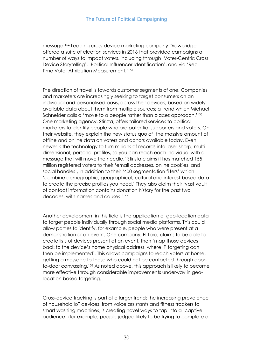message.<sup>154</sup> Leading cross-device marketing company Drawbridge offered a suite of election services in 2016 that provided campaigns a number of ways to impact voters, including through 'Voter-Centric Cross Device Storytelling', 'Political Influencer Identification', and via 'Real-Time Voter Attribution Measurement.'<sup>155</sup>

The direction of travel is towards customer segments of one. Companies and marketers are increasingly seeking to target consumers on an individual and personalised basis, across their devices, based on widely available data about them from multiple sources; a trend which Michael Schneider calls a 'move to a people rather than places approach.'<sup>156</sup> One marketing agency, Stirista, offers tailored services to political marketers to identify people who are potential supporters and voters. On their website, they explain the new status quo of 'the massive amount of offline and online data on voters and donors available today. Even newer is the technology to turn millions of records into laser-sharp, multidimensional, personal profiles, so you can reach each individual with a message that will move the needle.' Stirista claims it has matched 155 million registered voters to their 'email addresses, online cookies, and social handles', in addition to their '400 segmentation filters' which 'combine demographic, geographical, cultural and interest-based data to create the precise profiles you need.' They also claim their 'vast vault of contact information contains donation history for the past two decades, with names and causes.'<sup>157</sup>

Another development in this field is the application of geo-location data to target people individually through social media platforms. This could allow parties to identify, for example, people who were present at a demonstration or an event. One company, El Toro, claims to be able to create lists of devices present at an event, then 'map those devices back to the device's home physical address, where IP targeting can then be implemented'. This allows campaigns to reach voters at home, getting a message to those who could not be contacted through doorto-door canvassing.<sup>158</sup> As noted above, this approach is likely to become more effective through considerable improvements underway in geolocation based targeting.

Cross-device tracking is part of a larger trend: the increasing prevalence of household IoT devices, from voice assistants and fitness trackers to smart washing machines, is creating novel ways to tap into a 'captive audience' (for example, people judged likely to be trying to complete a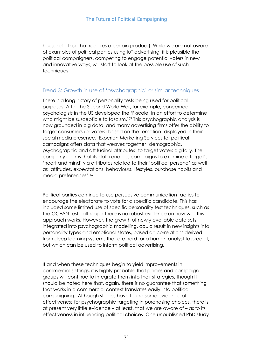household task that requires a certain product). While we are not aware of examples of political parties using IoT advertising, it is plausible that political campaigners, competing to engage potential voters in new and innovative ways, will start to look at the possible use of such techniques.

#### Trend 3: Growth in use of 'psychographic' or similar techniques

There is a long history of personality tests being used for political purposes. After the Second World War, for example, concerned psychologists in the US developed the 'F-scale' in an effort to determine who might be susceptible to fascism.<sup>159</sup> This psychographic analysis is now grounded in big data, and many advertising firms offer the ability to target consumers (or voters) based on the 'emotion' displayed in their social media presence. Experian Marketing Services for political campaigns offers data that weaves together 'demographic, psychographic and attitudinal attributes' to target voters digitally. The company claims that its data enables campaigns to examine a target's 'heart and mind' via attributes related to their 'political persona' as well as 'attitudes, expectations, behaviours, lifestyles, purchase habits and media preferences'.<sup>160</sup>

Political parties continue to use persuasive communication tactics to encourage the electorate to vote for a specific candidate. This has included some limited use of specific personality test techniques, such as the OCEAN test - although there is no robust evidence on how well this approach works. However, the growth of newly available data sets, integrated into psychographic modelling, could result in new insights into personality types and emotional states, based on correlations derived from deep learning systems that are hard for a human analyst to predict, but which can be used to inform political advertising.

If and when these techniques begin to yield improvements in commercial settings, it is highly probable that parties and campaign groups will continue to integrate them into their strategies, though It should be noted here that, again, there is no guarantee that something that works in a commercial context translates easily into political campaigning. Although studies have found some evidence of effectiveness for psychographic targeting in purchasing choices, there is at present very little evidence – at least, that we are aware of – as to its effectiveness in influencing political choices. One unpublished PhD study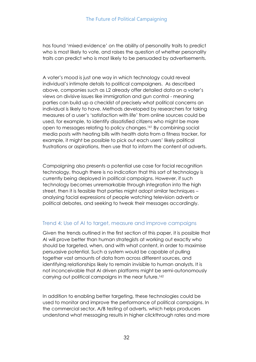has found 'mixed evidence' on the ability of personality traits to predict who is most likely to vote, and raises the question of whether personality traits can predict who is most likely to be persuaded by advertisements.

A voter's mood is just one way in which technology could reveal individual's intimate details to political campaigners. As described above, companies such as L2 already offer detailed data on a voter's views on divisive issues like immigration and gun control - meaning parties can build up a checklist of precisely what political concerns an individual is likely to have. Methods developed by researchers for taking measures of a user's 'satisfaction with life' from online sources could be used, for example, to identify dissatisfied citizens who might be more open to messages relating to policy changes.<sup>161</sup> By combining social media posts with heating bills with health data from a fitness tracker, for example, it might be possible to pick out each users' likely political frustrations or aspirations, then use that to inform the content of adverts.

Campaigning also presents a potential use case for facial recognition technology, though there is no indication that this sort of technology is currently being deployed in political campaigns. However, if such technology becomes unremarkable through integration into the high street, then it is feasible that parties might adopt similar techniques – analysing facial expressions of people watching television adverts or political debates, and seeking to tweak their messages accordingly.

## Trend 4: Use of AI to target, measure and improve campaigns

Given the trends outlined in the first section of this paper, it is possible that AI will prove better than human strategists at working out exactly who should be targeted, when, and with what content, in order to maximise persuasive potential. Such a system would be capable of pulling together vast amounts of data from across different sources, and identifying relationships likely to remain invisible to human analysts. It is not inconceivable that AI driven platforms might be semi-autonomously carrying out political campaigns in the near future.<sup>162</sup>

In addition to enabling better targeting, these technologies could be used to monitor and improve the performance of political campaigns. In the commercial sector, A/B testing of adverts, which helps producers understand what messaging results in higher clickthrough rates and more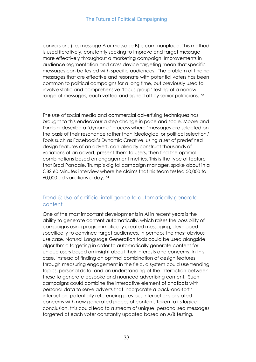conversions (i.e. message A or message B) is commonplace. This method is used iteratively, constantly seeking to improve and target message more effectively throughout a marketing campaign. Improvements in audience segmentation and cross device targeting mean that specific messages can be tested with specific audiences. The problem of finding messages that are effective and resonate with potential voters has been common to political campaigns for a long time, but previously used to involve static and comprehensive 'focus group' testing of a narrow range of messages, each vetted and signed off by senior politicians.<sup>163</sup>

The use of social media and commercial advertising techniques has brought to this endeavour a step change in pace and scale. Moore and Tambini describe a 'dynamic' process where 'messages are selected on the basis of their resonance rather than ideological or political selection.' Tools such as Facebook's Dynamic Creative, using a set of predefined design features of an advert, can already construct thousands of variations of an advert, present them to users, then find the optimal combinations based on engagement metrics. This is the type of feature that Brad Parscale, Trump's digital campaign manager, spoke about in a CBS 60 Minutes interview where he claims that his team tested 50,000 to 60,000 ad variations a day.<sup>164</sup>

## Trend 5: Use of artificial intelligence to automatically generate content

One of the most important developments in AI in recent years is the ability to generate content automatically, which raises the possibility of campaigns using programmatically created messaging, developed specifically to convince target audiences. In perhaps the most obvious use case, Natural Language Generation tools could be used alongside algorithmic targeting in order to automatically generate content for unique users based on insight about their interests and concerns. In this case, instead of finding an optimal combination of design features through measuring engagement in the field, a system could use trending topics, personal data, and an understanding of the interaction between these to generate bespoke and nuanced advertising content. Such campaigns could combine the interactive element of chatbots with personal data to serve adverts that incorporate a back-and-forth interaction, potentially referencing previous interactions or stated concerns with new generated pieces of content. Taken to its logical conclusion, this could lead to a stream of unique, personalised messages targeted at each voter constantly updated based on A/B testing.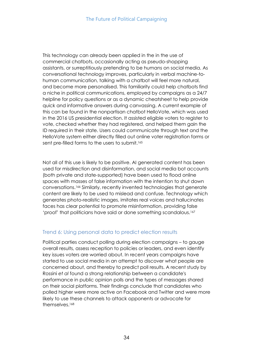This technology can already been applied in the in the use of commercial chatbots, occasionally acting as pseudo-shopping assistants, or surreptitiously pretending to be humans on social media. As conversational technology improves, particularly in verbal machine-tohuman communication, talking with a chatbot will feel more natural, and become more personalised. This familiarity could help chatbots find a niche in political communications, employed by campaigns as a 24/7 helpline for policy questions or as a dynamic cheatsheet to help provide quick and informative answers during canvassing. A current example of this can be found in the nonpartisan chatbot HelloVote, which was used in the 2016 US presidential election. It assisted eligible voters to register to vote, checked whether they had registered, and helped them gain the ID required in their state. Users could communicate through text and the HelloVote system either directly filled out online voter registration forms or sent pre-filled forms to the users to submit.<sup>165</sup>

Not all of this use is likely to be positive. AI generated content has been used for misdirection and disinformation, and social media bot accounts (both private and state-supported) have been used to flood online spaces with masses of false information with the intention to shut down conversations.<sup>166</sup> Similarly, recently invented technologies that generate content are likely to be used to mislead and confuse. Technology which generates photo-realistic images, imitates real voices and hallucinates faces has clear potential to promote misinformation, providing false 'proof' that politicians have said or done something scandalous.<sup>167</sup>

## Trend 6: Using personal data to predict election results

Political parties conduct polling during election campaigns – to gauge overall results, assess reception to policies or leaders, and even identify key issues voters are worried about. In recent years campaigns have started to use social media in an attempt to discover what people are concerned about, and thereby to predict poll results. A recent study by Rossini *et al* found a strong relationship between a candidate's performance in public opinion polls and the types of messages shared on their social platforms. Their findings conclude that candidates who polled higher were more active on Facebook and Twitter and were more likely to use these channels to attack opponents or advocate for themselves.168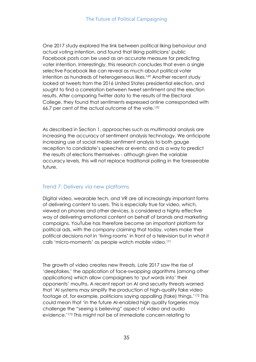One 2017 study explored the link between political liking behaviour and actual voting intention, and found that liking politicians' public Facebook posts can be used as an accurate measure for predicting voter intention. Interestingly, this research concludes that even a single selective Facebook like can reveal as much about political voter intention as hundreds of heterogeneous likes.<sup>169</sup> Another recent study looked at tweets from the 2016 United States presidential election, and sought to find a correlation between tweet sentiment and the election results. After comparing Twitter data to the results of the Electoral College, they found that sentiments expressed online corresponded with 66.7 per cent of the actual outcome of the vote.<sup>170</sup>

As described in Section 1, approaches such as multimodal analysis are increasing the accuracy of sentiment analysis technology. We anticipate increasing use of social media sentiment analysis to both gauge reception to candidate's speeches or events; and as a way to predict the results of elections themselves - although given the variable accuracy levels, this will not replace traditional polling in the foreseeable future.

## Trend 7: Delivery via new platforms

Digital video, wearable tech, and VR are all increasingly important forms of delivering content to users. This is especially true for video, which, viewed on phones and other devices, is considered a highly effective way of delivering emotional content on behalf of brands and marketing campaigns. YouTube has therefore become an important platform for political ads, with the company claiming that today, voters make their political decisions not in 'living rooms' in front of a television but in what it calls 'micro-moments' as people watch mobile video.<sup>171</sup>

The growth of video creates new threats. Late 2017 saw the rise of 'deepfakes,' the application of face-swapping algorithms (among other applications) which allow campaigners to 'put words into' their opponents' mouths. A recent report on AI and security threats warned that 'AI systems may simplify the production of high-quality fake video footage of, for example, politicians saying appalling (fake) things.'<sup>172</sup> This could mean that 'in the future AI-enabled high quality forgeries may challenge the "seeing is believing" aspect of video and audio evidence.'<sup>173</sup> This might not be of immediate concern relating to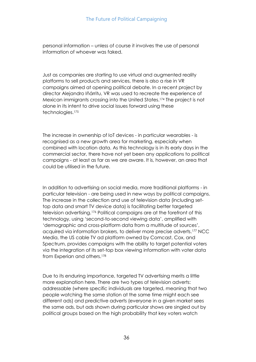personal information – unless of course it involves the use of personal information of whoever was faked.

Just as companies are starting to use virtual and augmented reality platforms to sell products and services, there is also a rise in VR campaigns aimed at opening political debate. In a recent project by director Alejandro Iñárritu, VR was used to recreate the experience of Mexican immigrants crossing into the United States.<sup>174</sup> The project is not alone in its intent to drive social issues forward using these technologies.<sup>175</sup>

The increase in ownership of IoT devices - in particular wearables - is recognised as a new growth area for marketing, especially when combined with location data. As this technology is in its early days in the commercial sector, there have not yet been any applications to political campaigns - at least as far as we are aware. It is, however, an area that could be utilised in the future.

In addition to advertising on social media, more traditional platforms - in particular television - are being used in new ways by political campaigns. The increase in the collection and use of television data (including settop data and smart TV device data) is facilitating better targeted television advertising.<sup>176</sup> Political campaigns are at the forefront of this technology, using 'second-to-second viewing data', amplified with 'demographic and cross-platform data from a multitude of sources', acquired via information brokers, to deliver more precise adverts.<sup>177</sup> NCC Media, the US cable TV ad platform owned by Comcast, Cox, and Spectrum, provides campaigns with the ability to target potential voters via the integration of its set-top box viewing information with voter data from Experian and others.<sup>178</sup>

Due to its enduring importance, targeted TV advertising merits a little more explanation here. There are two types of television adverts: addressable (where specific individuals are targeted, meaning that two people watching the same station at the same time might each see different ads) and predictive adverts (everyone in a given market sees the same ads, but ads shown during particular shows are singled out by political groups based on the high probability that key voters watch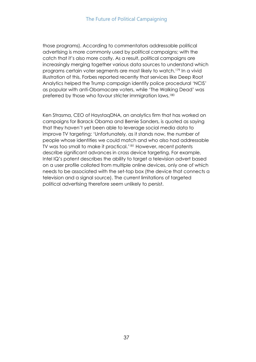those programs). According to commentators addressable political advertising is more commonly used by political campaigns; with the catch that it's also more costly. As a result, political campaigns are increasingly merging together various data sources to understand which programs certain voter segments are most likely to watch.<sup>179</sup> In a vivid illustration of this, Forbes reported recently that services like Deep Root Analytics helped the Trump campaign identify police procedural 'NCIS' as popular with anti-Obamacare voters, while 'The Walking Dead' was preferred by those who favour stricter immigration laws.<sup>180</sup>

Ken Strasma, CEO of HaystaqDNA, an analytics firm that has worked on campaigns for Barack Obama and Bernie Sanders, is quoted as saying that they haven't yet been able to leverage social media data to improve TV targeting: 'Unfortunately, as it stands now, the number of people whose identities we could match and who also had addressable TV was too small to make it practical.'<sup>181</sup> However, recent patents describe significant advances in cross device targeting. For example, Intel IQ's patent describes the ability to target a television advert based on a user profile collated from multiple online devices, only one of which needs to be associated with the set-top box (the device that connects a television and a signal source). The current limitations of targeted political advertising therefore seem unlikely to persist.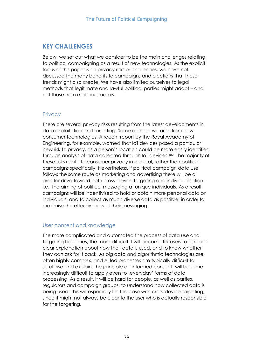## **KEY CHALLENGES**

Below, we set out what we consider to be the main challenges relating to political campaigning as a result of new technologies. As the explicit focus of this paper is on privacy risks or challenges, we have not discussed the many benefits to campaigns and elections that these trends might also create. We have also limited ourselves to legal methods that legitimate and lawful political parties might adopt – and not those from malicious actors.

## **Privacy**

There are several privacy risks resulting from the latest developments in data exploitation and targeting. Some of these will arise from new consumer technologies. A recent report by the Royal Academy of Engineering, for example, warned that IoT devices posed a particular new risk to privacy, as a person's location could be more easily identified through analysis of data collected through IoT devices.<sup>182</sup> The majority of these risks relate to consumer privacy in general, rather than political campaigns specifically. Nevertheless, if political campaign data use follows the same route as marketing and advertising there will be a greater drive toward both cross-device targeting and individualisation i.e., the aiming of political messaging at unique individuals. As a result, campaigns will be incentivised to hold or obtain more personal data on individuals, and to collect as much diverse data as possible, in order to maximise the effectiveness of their messaging.

## User consent and knowledge

The more complicated and automated the process of data use and targeting becomes, the more difficult it will become for users to ask for a clear explanation about how their data is used, and to know whether they can ask for it back. As big data and algorithmic technologies are often highly complex, and AI led processes are typically difficult to scrutinise and explain, the principle of 'informed consent' will become increasingly difficult to apply even to 'everyday' forms of data processing. As a result, it will be hard for people, as well as parties, regulators and campaign groups, to understand how collected data is being used. This will especially be the case with cross-device targeting, since it might not always be clear to the user who is actually responsible for the targeting.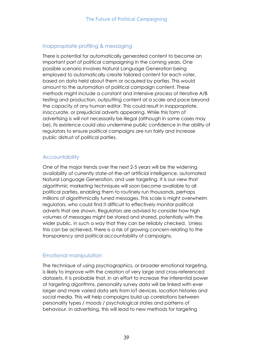## Inappropriate profiling & messaging

There is potential for automatically generated content to become an important part of political campaigning in the coming years. One possible scenario involves Natural Language Generation being employed to automatically create tailored content for each voter, based on data held about them or acquired by parties. This would amount to the automation of political campaign content. These methods might include a constant and intensive process of iterative A/B testing and production, outputting content at a scale and pace beyond the capacity of any human editor. This could result in inappropriate, inaccurate, or prejudicial adverts appearing. While this form of advertising is will not necessarily be illegal (although in some cases may be), its existence could also undermine public confidence in the ability of regulators to ensure political campaigns are run fairly and increase public distrust of political parties.

## **Accountability**

One of the major trends over the next 2-5 years will be the widening availability of currently state-of-the-art artificial intelligence, automated Natural Language Generation, and user targeting. It is our view that algorithmic marketing techniques will soon become available to all political parties, enabling them to routinely run thousands, perhaps millions of algorithmically tuned messages. This scale is might overwhelm regulators, who could find it difficult to effectively monitor political adverts that are shown. Regulators are advised to consider how high volumes of messages might be stored and shared, potentially with the wider public, in such a way that they can be reliably checked. Unless this can be achieved, there is a risk of growing concern relating to the transparency and political accountability of campaigns.

## Emotional manipulation

The technique of using psychographics, or broader emotional targeting, is likely to improve with the creation of very large and cross-referenced datasets. It is probable that, in an effort to increase the inferential power of targeting algorithms, personality survey data will be linked with ever larger and more varied data sets from IoT devices, location histories and social media. This will help campaigns build up correlations between personality types / moods / psychological states and patterns of behaviour. In advertising, this will lead to new methods for targeting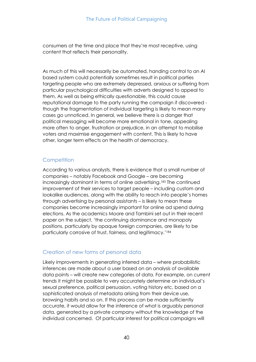consumers at the time and place that they're most receptive, using content that reflects their personality.

As much of this will necessarily be automated, handing control to an AI based system could potentially sometimes result in political parties targeting people who are extremely depressed, anxious or suffering from particular psychological difficulties with adverts designed to appeal to them. As well as being ethically questionable, this could cause reputational damage to the party running the campaign if discovered though the fragmentation of individual targeting is likely to mean many cases go unnoticed. In general, we believe there is a danger that political messaging will become more emotional in tone, appealing more often to anger, frustration or prejudice, in an attempt to mobilise voters and maximise engagement with content. This is likely to have other, longer term effects on the health of democracy.

## **Competition**

According to various analysts, there is evidence that a small number of companies – notably Facebook and Google – are becoming increasingly dominant in terms of online advertising.<sup>183</sup> The continued improvement of their services to target people – including custom and lookalike audiences, along with the ability to reach into people's homes through advertising by personal assistants – is likely to mean these companies become increasingly important for online ad spend during elections. As the academics Moore and Tambini set out in their recent paper on the subject, 'the continuing dominance and monopoly positions, particularly by opaque foreign companies, are likely to be particularly corrosive of trust, fairness, and legitimacy.'<sup>184</sup>

## Creation of new forms of personal data

Likely improvements in generating inferred data – where probabilistic inferences are made about a user based on an analysis of available data points – will create new categories of data. For example, on current trends it might be possible to very accurately determine an individual's sexual preference, political persuasion, voting history etc, based on a sophisticated analysis of metadata arising from their device use, browsing habits and so on. If this process can be made sufficiently accurate, it would allow for the inference of what is arguably personal data, generated by a private company without the knowledge of the individual concerned. Of particular interest for political campaigns will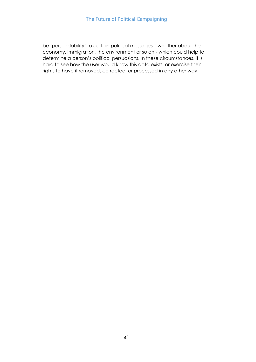be 'persuadability' to certain political messages – whether about the economy, immigration, the environment or so on - which could help to determine a person's political persuasions. In these circumstances, it is hard to see how the user would know this data exists, or exercise their rights to have it removed, corrected, or processed in any other way.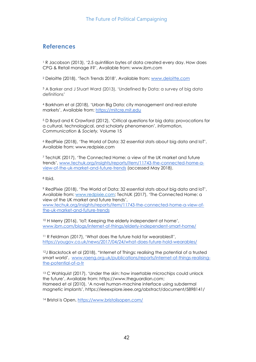## **References**

<sup>1</sup> R Jacobson (2013), '2.5 quintillion bytes of data created every day. How does CPG & Retail manage it?', Available from: www.ibm.com

<sup>2</sup> Deloitte (2018), 'Tech Trends 2018', Available from: [www.deloitte.com](http://www.deloitte.com/) 

<sup>3</sup> A Barker and J Stuart Ward (2013), 'Undefined By Data: a survey of big data definitions'

<sup>4</sup> Barkham et al (2018), 'Urban Big Data: city management and real estate markets', Available from: [https://mitcre.mit.edu](https://mitcre.mit.edu/)

<sup>5</sup> D Boyd and K Crawford (2012), 'Critical questions for big data: provocations for a cultural, technological, and scholarly phenomenon', *Information, Communication & Society,* Volume 15

<sup>6</sup> RedPixie (2018), 'The World of Data: 32 essential stats about big data and IoT', Available from: www.redpixie.com

<sup>7</sup> TechUK (2017), 'The Connected Home: a view of the UK market and future trends', [www.techuk.org/insights/reports/item/11743-the-connected-home-a](http://www.techuk.org/insights/reports/item/11743-the-connected-home-a-view-of-the-uk-market-and-future-trends)[view-of-the-uk-market-and-future-trends](http://www.techuk.org/insights/reports/item/11743-the-connected-home-a-view-of-the-uk-market-and-future-trends) (accessed May 2018).

<sup>8</sup> Ibid.

<sup>9</sup> RedPixie (2018), 'The World of Data: 32 essential stats about big data and IoT', Available from: [www.redpixie.com;](http://www.redpixie.com/) TechUK (2017), 'The Connected Home: a view of the UK market and future trends',

[www.techuk.org/insights/reports/item/11743-the-connected-home-a-view-of](http://www.techuk.org/insights/reports/item/11743-the-connected-home-a-view-of-the-uk-market-and-future-trends)[the-uk-market-and-future-trends](http://www.techuk.org/insights/reports/item/11743-the-connected-home-a-view-of-the-uk-market-and-future-trends)

<sup>10</sup> H Merry (2016), 'IoT: Keeping the elderly independent at home', [www.ibm.com/blogs/internet-of-things/elderly-independent-smart-home/](https://www.ibm.com/blogs/internet-of-things/elderly-independent-smart-home/)

<sup>11</sup> R Feldman (2017), 'What does the future hold for wearables?', <https://yougov.co.uk/news/2017/04/24/what-does-future-hold-wearables/>

<sup>12</sup>J Blackstock et al (2018), "Internet of Things: realising the potential of a trusted smart world', [www.raeng.org.uk/publications/reports/internet-of-things-realising](https://www.raeng.org.uk/publications/reports/internet-of-things-realising-the-potential-of-a-tr)[the-potential-of-a-tr](https://www.raeng.org.uk/publications/reports/internet-of-things-realising-the-potential-of-a-tr)

<sup>13</sup> C Wahlquist (2017), 'Under the skin: how insertable microchips could unlock the future', Available from: https://www.theguardian.com; Hameed et al (2010), 'A novel human-machine interface using subdermal magnetic implants', https://ieeexplore.ieee.org/abstract/document/5898141/

<sup>14</sup> Bristol is Open,<https://www.bristolisopen.com/>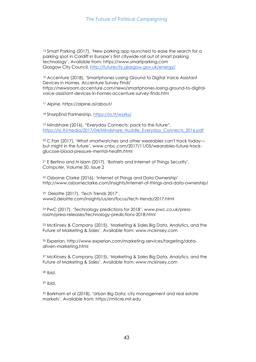<sup>15</sup> Smart Parking (2017), 'New parking app launched to ease the search for a parking spot in Cardiff in Europe's first citywide roll out of smart parking technology', Available from: https://www.smartparking.com Glasgow City Council,<http://futurecity.glasgow.gov.uk/energy/>

<sup>16</sup> Accenture (2018), 'Smartphones Losing Ground to Digital Voice Assistant Devices in Homes, Accenture Survey Finds' https://newsroom.accenture.com/news/smartphones-losing-ground-to-digitalvoice-assistant-devices-in-homes-accenture-survey-finds.htm

<sup>17</sup> Alpine, https://alpine.ai/about/

<sup>18</sup> SharpEnd Partnership,<https://io.tt/works/>

<sup>19</sup> Mindshare (2016), "Everyday Connects: pack to the future", [https://io.tt/media/2017/04/Mindshare\\_Huddle\\_Everyday\\_Connects\\_2016.pdf](https://io.tt/media/2017/04/Mindshare_Huddle_Everyday_Connects_2016.pdf)

<sup>20</sup> C Farr (2017), 'What smartwatches and other wearables can't track today but might in the future', www.cnbc.com/2017/11/05/wearables-future-trackglucose-blood-pressure-mental-health.html

<sup>21</sup> E Bertino and N Islam (2017), 'Botnets and Internet of Things Security', *Computer*, Volume 50, Issue 2

<sup>22</sup> Osborne Clarke (2016), 'Internet of Things and Data Ownership' http://www.osborneclarke.com/insights/internet-of-things-and-data-ownership/

<sup>23</sup> Deloitte (2017), 'Tech Trends 2017', www2.deloitte.com/insights/us/en/focus/tech-trends/2017.html

<sup>24</sup> PwC (2017), 'Technology predictions for 2018', www.pwc.co.uk/pressroom/press-releases/technology-predictions-2018.html

<sup>25</sup> McKinsey & Company (2015), 'Marketing & Sales Big Data, Analytics, and the Future of Marketing & Sales', Available from: www.mckinsey.com

<sup>26</sup> Experian, http://www.experian.com/marketing-services/targeting/datadriven-marketing.html

<sup>27</sup> McKinsey & Company (2015), 'Marketing & Sales Big Data, Analytics, and the Future of Marketing & Sales', Available from: www.mckinsey.com

<sup>28</sup> Ibid.

<sup>29</sup> Ibid.

<sup>30</sup> Barkham et al (2018), 'Urban Big Data: city management and real estate markets', Available from: https://mitcre.mit.edu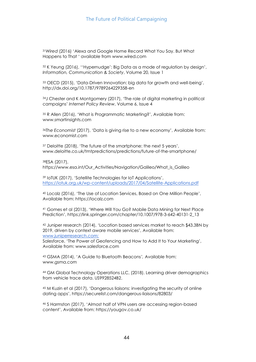<sup>31</sup>*Wired* (2016) 'Alexa and Google Home Record What You Say. But What Happens to That ' available from www.wired.com

<sup>32</sup> K Yeung (2016), ''Hypernudge': Big Data as a mode of regulation by design', *Information, Communication & Society*, Volume 20, Issue 1

<sup>33</sup> OECD (2015), 'Data-Driven Innovation: big data for growth and well-being', http://dx.doi.org/10.1787/9789264229358-en

<sup>34</sup>J Chester and K Montgomery (2017), 'The role of digital marketing in political campaigns' *Internet Policy Review*, Volume 6, Issue 4

<sup>35</sup> R Allen (2016), 'What is Programmatic Marketing?', Available from: www.smartinsights.com

<sup>36</sup>*The Economist* (2017), 'Data is giving rise to a new economy', Available from: www.economist.com

<sup>37</sup> Deloitte (2018), 'The future of the smartphone: the next 5 years', www.deloitte.co.uk/tmtpredictions/predictions/future-of-the-smartphone/

<sup>38</sup>ESA (2017),

https://www.esa.int/Our\_Activities/Navigation/Galileo/What\_is\_Galileo

<sup>39</sup> IoTUK (2017), 'Satellite Technologies for IoT Applications', <https://iotuk.org.uk/wp-content/uploads/2017/04/Satellite-Applications.pdf>

<sup>40</sup> Localz (2016), 'The Use of Location Services, Based on One Million People', Available from: https://localz.com

<sup>41</sup> Gomes et al (2013), 'Where Will You Go? Mobile Data Mining for Next Place Prediction', https://link.springer.com/chapter/10.1007/978-3-642-40131-2\_13

<sup>42</sup> Juniper research (2014), 'Location based services market to reach \$43.3BN by 2019, driven by context aware mobile services', Available from: [www.juniperresearch.com;](http://www.juniperresearch.com/)

Salesforce, 'The Power of Geofencing and How to Add It to Your Marketing', Available from: www.salesforce.com

<sup>43</sup> GSMA (2014), 'A Guide to Bluetooth Beacons*',* Available from: www.gsma.com

<sup>44</sup> GM Global Technology Operations LLC, (2018). Learning driver demographics from vehicle trace data. US9928524B2.

<sup>45</sup> M Kuzin et al (2017), 'Dangerous liaisons: investigating the security of online dating apps', https://securelist.com/dangerous-liaisons/82803/

<sup>46</sup> S Harmston (2017), 'Almost half of VPN users are accessing region-based content', Available from: https://yougov.co.uk/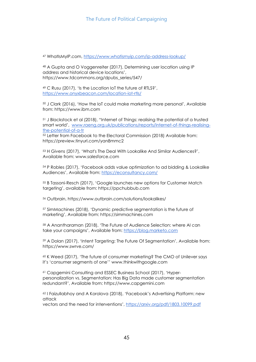<sup>47</sup> WhatIsMyIP.com,<https://www.whatismyip.com/ip-address-lookup/>

<sup>48</sup> A Gupta and O Voggenreiter (2017), Determining user location using IP address and historical device locations', https://www.tdcommons.org/dpubs\_series/547/

<sup>49</sup> C Rusu (2017), 'Is the Location IoT the future of RTLS?', <https://www.onyxbeacon.com/location-iot-rtls/>

<sup>50</sup> J Clark (2016), 'How the IoT could make marketing more personal', Available from: https://www.ibm.com

<sup>51</sup> J Blackstock et al (2018), "Internet of Things: realising the potential of a trusted smart world', [www.raeng.org.uk/publications/reports/internet-of-things-realising](https://www.raeng.org.uk/publications/reports/internet-of-things-realising-the-potential-of-a-tr)[the-potential-of-a-tr](https://www.raeng.org.uk/publications/reports/internet-of-things-realising-the-potential-of-a-tr)

<sup>52</sup> Letter from Facebook to the Electoral Commission (2018) Available from: https://preview.tinyurl.com/yan8mmc2

<sup>53</sup> H Givens (2017), 'What's The Deal With Lookalike And Similar Audiences?', Available from: www.salesforce.com

<sup>54</sup> P Robles (2017), 'Facebook adds value optimization to ad bidding & Lookalike Audiences', Available from: <https://econsultancy.com/>

<sup>55</sup> B Tassoni-Resch (2017), 'Google launches new options for Customer Match targeting', available from: https://ppchubbub.com

<sup>56</sup> Outbrain, https://www.outbrain.com/solutions/lookalikes/

<sup>57</sup> SimMachines (2018), 'Dynamic predictive segmentation is the future of marketing', Available from: https://simmachines.com

<sup>58</sup> A Anantharaman (2018), 'The Future of Audience Selection: where AI can take your campaigns', Available from: [https://blog.marketo.com](https://blog.marketo.com/2018/04/future-audience-selection-ai-can-take-campaigns.html)

<sup>59</sup> A Dolan (2017), 'Intent Targeting: The Future Of Segmentation', Available from: https://www.swrve.com/

<sup>60</sup> K Weed (2017), 'The future of consumer marketing? The CMO of Unilever says it's 'consumer segments of one'' www.thinkwithgoogle.com

<sup>61</sup> Capgemini Consulting and ESSEC Business School (2017), 'Hyperpersonalization vs. Segmentation: Has Big Data made customer segmentation redundant?', Available from: https://www.capgemini.com

<sup>62</sup> I Faizullabhoy and A Korolova (2018), 'Facebook's Advertising Platform: new attack

vectors and the need for interventions', <https://arxiv.org/pdf/1803.10099.pdf>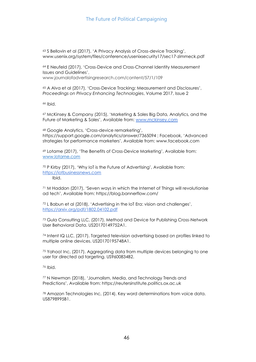<sup>63</sup> S Bellovin et al (2017), 'A Privacy Analysis of Cross-device Tracking', www.usenix.org/system/files/conference/usenixsecurity17/sec17-zimmeck.pdf

<sup>64</sup> E Neufeld (2017), 'Cross-Device and Cross-Channel Identity Measurement Issues and Guidelines', www.journalofadvertisingresearch.com/content/57/1/109

<sup>65</sup> A Alva et al (2017), 'Cross-Device Tracking: Measurement and Disclosures', *Proceedings on Privacy Enhancing Technologies*, Volume 2017, Issue 2

<sup>66</sup> Ibid.

<sup>67</sup> McKinsey & Company (2015), 'Marketing & Sales Big Data, Analytics, and the Future of Marketing & Sales', Available from: [www.mckinsey.com](http://www.mckinsey.com/)

<sup>68</sup> Google Analytics, 'Cross-device remarketing', https://support.google.com/analytics/answer/7365094 ; Facebook, 'Advanced strategies for performance marketers', Available from: www.facebook.com

<sup>69</sup> Lotame (2017), 'The Benefits of Cross-Device Marketing', Available from: [www.lotame.com](http://www.lotame.com/)

<sup>70</sup> P Kirby (2017), 'Why IoT is the Future of Advertising', Available from: [https://iotbusinessnews.com](https://iotbusinessnews.com/2017/08/29/47987-iot-future-advertising/) Ibid.

<sup>71</sup> M Haddon (2017), 'Seven ways in which the Internet of Things will revolutionise ad tech', Available from: https://blog.bannerflow.com/

<sup>72</sup> L Babun et al (2018), 'Advertising in the IoT Era: vision and challenges', <https://arxiv.org/pdf/1802.04102.pdf>

<sup>73</sup> Gula Consulting LLC, (2017). Method and Device for Publishing Cross-Network User Behavioral Data. US20170149752A1.

<sup>74</sup> Intent IQ LLC, (2017). Targeted television advertising based on profiles linked to multiple online devices. US20170195748A1.

<sup>75</sup> Yahoo! Inc, (2017). Aggregating data from multiple devices belonging to one user for directed ad targeting. US9600834B2.

<sup>76</sup> Ibid.

<sup>77</sup> N Newman (2018), 'Journalism, Media, and Technology Trends and Predictions', Available from: https://reutersinstitute.politics.ox.ac.uk

<sup>78</sup> Amazon Technologies Inc, (2014). Key word determinations from voice data. US8798995B1.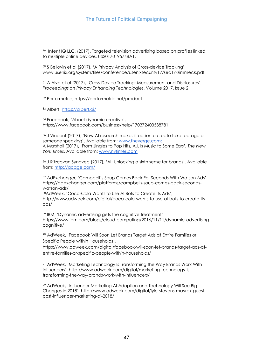<sup>79</sup> Intent IQ LLC, (2017). Targeted television advertising based on profiles linked to multiple online devices. US20170195748A1.

80 S Bellovin et al (2017), 'A Privacy Analysis of Cross-device Tracking', www.usenix.org/system/files/conference/usenixsecurity17/sec17-zimmeck.pdf

<sup>81</sup> A Alva et al (2017), 'Cross-Device Tracking: Measurement and Disclosures', *Proceedings on Privacy Enhancing Technologies*, Volume 2017, Issue 2

<sup>82</sup> Performetric, https://performetric.net/product

<sup>83</sup> Albert,<https://albert.ai/>

<sup>84</sup> Facebook, 'About dynamic creative', https://www.facebook.com/business/help/170372403538781

85 J Vincent (2017), 'New AI research makes it easier to create fake footage of someone speaking', Available from: [www.theverge.com;](https://www.theverge.com/2017/7/12/15957844/ai-fake-video-audio-speech-obama) A Marshall (2017), 'From Jingles to Pop Hits, A.I. Is Music to Some Ears', *The New York Times*, Available from: [www.nytimes.com](https://www.nytimes.com/2017/01/22/arts/music/jukedeck-artificial-intelligence-songwriting.html)

86 J Ritzcovan Synovec (2017), 'AI: Unlocking a sixth sense for brands', Available from: [http://adage.com/](http://adage.com/article/ibm-watson-advertising/ai-unlocking-a-sixth-sense-brands/311552/)

<sup>87</sup> AdExchanger, 'Campbell's Soup Comes Back For Seconds With Watson Ads' https://adexchanger.com/platforms/campbells-soup-comes-back-secondswatson-ads/

<sup>88</sup>AdWeek, 'Coca-Cola Wants to Use AI Bots to Create Its Ads',

http://www.adweek.com/digital/coca-cola-wants-to-use-ai-bots-to-create-itsads/

<sup>89</sup> IBM, 'Dynamic advertising gets the cognitive treatment' [https://www.ibm.com/blogs/cloud-computing/2016/11/11/dynamic-advertising](https://www.ibm.com/blogs/cloud-computing/2016/11/11/dynamic-advertising-cognitive/)[cognitive/](https://www.ibm.com/blogs/cloud-computing/2016/11/11/dynamic-advertising-cognitive/)

<sup>90</sup> AdWeek, 'Facebook Will Soon Let Brands Target Ads at Entire Families or Specific People within Households',

https://www.adweek.com/digital/facebook-will-soon-let-brands-target-ads-atentire-families-or-specific-people-within-households/

<sup>91</sup> AdWeek, 'Marketing Technology Is Transforming the Way Brands Work With Influencers', [http://www.adweek.com/digital/marketing-technology-is](http://www.adweek.com/digital/marketing-technology-is-transforming-the-way-brands-work-with-influencers/)[transforming-the-way-brands-work-with-influencers/](http://www.adweek.com/digital/marketing-technology-is-transforming-the-way-brands-work-with-influencers/)

<sup>92</sup> AdWeek, 'Influencer Marketing AI Adoption and Technology Will See Big Changes in 2018', [http://www.adweek.com/digital/lyle-stevens-mavrck-guest](http://www.adweek.com/digital/lyle-stevens-mavrck-guest-post-influencer-marketing-ai-2018/)[post-influencer-marketing-ai-2018/](http://www.adweek.com/digital/lyle-stevens-mavrck-guest-post-influencer-marketing-ai-2018/)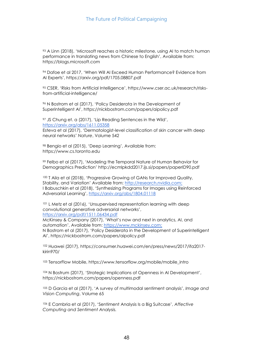<sup>93</sup> A Linn (2018), 'Microsoft reaches a historic milestone, using AI to match human performance in translating news from Chinese to English', Available from: https://blogs.microsoft.com

<sup>94</sup> Dafoe et al 2017, 'When Will AI Exceed Human Performance? Evidence from AI Experts', https://arxiv.org/pdf/1705.08807.pdf

<sup>95</sup> CSER, 'Risks from Artificial Intelligence', https://www.cser.ac.uk/research/risksfrom-artificial-intelligence/

<sup>96</sup> N Bostrom et al (2017), 'Policy Desiderata in the Development of Superintelligent AI', https://nickbostrom.com/papers/aipolicy.pdf

<sup>97</sup> JS Chung et. a (2017), 'Lip Reading Sentences in the Wild', <https://arxiv.org/abs/1611.05358> Esteva et al (2017), 'Dermatologist-level classification of skin cancer with deep neural networks' *Nature*, Volume 542

<sup>98</sup> Bengio et al (2015), 'Deep Learning', Available from: https://www.cs.toronto.edu

<sup>99</sup> Felbo et al (2017), 'Modeling the Temporal Nature of Human Behavior for Demographics Prediction' http://ecmlpkdd2017.ijs.si/papers/paperID90.pdf

<sup>100</sup> T Aila et al (2018), 'Progressive Growing of GANs for Improved Quality, Stability, and Variation' Available from: [http://research.nvidia.com;](http://research.nvidia.com/) I Babuschkin et al (2018), 'Synthesizing Programs for Images using Reinforced Adversarial Learning', <https://arxiv.org/abs/1804.01118>

<sup>101</sup> L Metz et al (2016), 'Unsupervised representation learning with deep convolutional generative adversarial networks', <https://arxiv.org/pdf/1511.06434.pdf>

McKinsey & Company (2017), 'What's now and next in analytics, AI, and automation', Available from: [https://www.mckinsey.com;](https://www.mckinsey.com/) N Bostrom et al (2017), 'Policy Desiderata in the Development of Superintelligent AI', https://nickbostrom.com/papers/aipolicy.pdf

<sup>102</sup> Huawei (2017), https://consumer.huawei.com/en/press/news/2017/ifa2017 kirin970/

103 TensorFlow Mobile, https://www.tensorflow.org/mobile/mobile\_intro

<sup>104</sup> N Bostrum (2017), 'Strategic Implications of Openness in AI Development', https://nickbostrom.com/papers/openness.pdf

<sup>105</sup> D Garcia et al (2017), 'A survey of multimodal sentiment analysis', *Image and Vision Computing*, Volume 65

<sup>106</sup> E Cambria et al (2017), 'Sentiment Analysis Is a Big Suitcase', *Affective Computing and Sentiment Analysis.*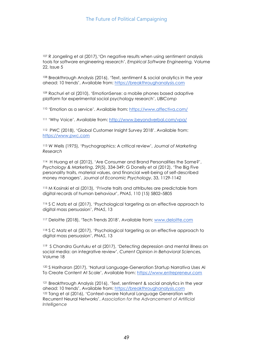<sup>107</sup> R Jongeling et al (2017),*'*On negative results when using sentiment analysis tools for software engineering research', *Empirical Software Engineering,* Volume 22, Issue 5

<sup>108</sup> Breakthrough Analysis (2016), 'Text, sentiment & social analytics in the year ahead: 10 trends', Available from: [https://breakthroughanalysis.com](https://breakthroughanalysis.com/) 

<sup>109</sup> Rachuri et al (2010), 'EmotionSense: a mobile phones based adaptive platform for experimental social psychology research', *UBIComp* 

<sup>110</sup> 'Emotion as a service'. Available from: [https://www.affectiva.com/](https://www.affectiva.com/product/emotion-as-a-service/)

<sup>111</sup> 'Why Voice'. Available from: <http://www.beyondverbal.com/vpa/>

<sup>112</sup> PWC (2018), 'Global Customer Insight Survey 2018'. Available from: [https://www.pwc.com](https://www.pwc.com/gx/en/industries/consumer-markets/consumer-insights-survey/artificial-intelligence.html)

<sup>113</sup> W Wells (1975), 'Psychographics: A critical review', *Journal of Marketing Research*

<sup>114</sup> H Huang et al (2012), 'Are Consumer and Brand Personalities the Same?', *Psychology & Marketing*, 29(5), 334-349; G Donelly et al (2012), 'The Big Five personality traits, material values, and financial well-being of self-described money managers', J*ournal of Economic Psychology*, 33, 1129-1142

<sup>115</sup> M Kosinski et al (2013), 'Private traits and attributes are predictable from digital records of human behaviour', *PNAS*, 110 (15) 5802–5805

<sup>116</sup> S C Matz et al (2017), 'Psychological targeting as an effective approach to digital mass persuasion', *PNAS*, 13

<sup>117</sup> Deloitte (2018), 'Tech Trends 2018', Available from: [www.deloitte.com](http://www.deloitte.com/) 

<sup>118</sup> S C Matz et al (2017), 'Psychological targeting as an effective approach to digital mass persuasion', *PNAS*, 13

<sup>119</sup> S Chandra Guntuku et al (2017), 'Detecting depression and mental illness on social media: an integrative review', *Current Opinion in Behavioral Sciences,*  Volume 18

<sup>120</sup> S Hariharan (2017), 'Natural Language-Generation Startup Narrativa Uses AI To Create Content At Scale', Available from: [https://www.entrepreneur.com](https://www.entrepreneur.com/article/289104)

<sup>121</sup> Breakthrough Analysis (2016), 'Text, sentiment & social analytics in the year ahead: 10 trends', Available from: [https://breakthroughanalysis.com](https://breakthroughanalysis.com/) <sup>122</sup> Tang et al (2016), 'Context-aware Natural Language Generation with Recurrent Neural Networks', *Association for the Advancement of Artificial Intelligence*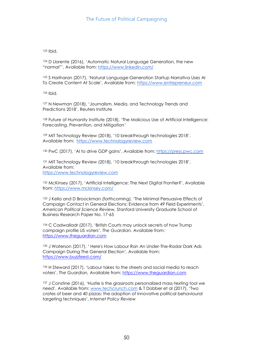<sup>123</sup> Ibid.

<sup>124</sup> D Llorente (2016), 'Automatic Natural Language Generation, the new "normal"', Available from: [https://www.linkedin.com/](https://www.linkedin.com/pulse/automatic-natural-language-generation-new-normal-david-llorente/)

<sup>125</sup> S Hariharan (2017), 'Natural Language-Generation Startup Narrativa Uses AI To Create Content At Scale', Available from: [https://www.entrepreneur.com](https://www.entrepreneur.com/article/289104)

<sup>126</sup> Ibid.

<sup>127</sup> N Newman (2018), 'Journalism, Media, and Technology Trends and Predictions 2018', Reuters Institute

128 Future of Humanity Institute (2018), 'The Malicious Use of Artificial Intelligence: Forecasting, Prevention, and Mitigation*'*

<sup>129</sup> MIT Technology Review (2018), '10 breakthrough technologies 2018', Available from: [https://www.technologyreview.com](https://www.technologyreview.com/)

<sup>130</sup> PwC (2017), 'AI to drive GDP gains', Available from: [https://press.pwc.com](https://press.pwc.com/)

<sup>131</sup> MIT Technology Review (2018), '10 breakthrough technologies 2018', Available from: [https://www.technologyreview.com](https://www.technologyreview.com/)

132 McKinsey (2017), 'Artificial Intelligence: The Next Digital Frontier?', Available from:<https://www.mckinsey.com/>

<sup>133</sup> J Kella and D Broockman (forthcoming), 'The Minimal Persuasive Effects of Campaign Contact in General Elections: Evidence from 49 Field Experiments', *American Political Science Review,* Stanford University Graduate School of Business Research Paper No. 17-65

<sup>134</sup> C Cadwalladr (2017), 'British Courts may unlock secrets of how Trump campaign profile US voters', *The Guardian,* Available from: [https://www.theguardian.com](https://www.theguardian.com/technology/2017/oct/01/cambridge-analytica-big-data-facebook-trump-voters)

135 J Waterson (2017), 'Here's How Labour Ran An Under-The-Radar Dark Ads Campaign During The General Election', Available from: [https://www.buzzfeed.com/](https://www.buzzfeed.com/jimwaterson/heres-how-labour-ran-an-under-the-radar-dark-ads-campaign?utm_term=.vij8de1Nb#.ok3wL5EoD)

<sup>136</sup> H Steward (2017), 'Labour takes to the streets and social media to reach voters', *The Guardian,* Available from: [https://www.theguardian.com](https://www.theguardian.com/politics/2017/apr/21/labour-takes-to-the-streets-and-social-media-to-reach-voters)

<sup>137</sup> J Constine (2016), 'Hustle is the grassroots personalized mass-texting tool we need', Available from: [www.techcrunch.com](http://www.techcrunch.com/) & T Dobber et al (2017), 'Two crates of beer and 40 pizzas: the adoption of innovative political behavioural targeting techniques', *Internet Policy Review*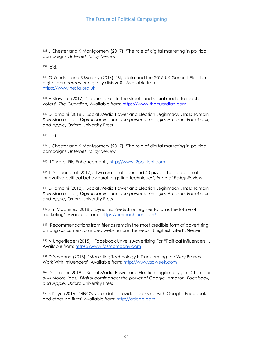<sup>138</sup> J Chester and K Montgomery (2017), 'The role of digital marketing in political campaigns', *Internet Policy Review* 

<sup>139</sup> Ibid.

<sup>140</sup> G Windsor and S Murphy (2014), 'Big data and the 2015 UK General Election: digital democracy or digitally divisive?', Available from: [https://www.nesta.org.uk](https://www.nesta.org.uk/)

<sup>141</sup> H Steward (2017), 'Labour takes to the streets and social media to reach voters', *The Guardian,* Available from: [https://www.theguardian.com](https://www.theguardian.com/politics/2017/apr/21/labour-takes-to-the-streets-and-social-media-to-reach-voters)

<sup>142</sup> D Tambini (2018), 'Social Media Power and Election Legitimacy', In: D Tambini & M Moore (eds.) *Digital dominance: the power of Google, Amazon, Facebook, and Apple*, Oxford University Press

<sup>143</sup> Ibid.

<sup>144</sup> J Chester and K Montgomery (2017), 'The role of digital marketing in political campaigns', *Internet Policy Review* 

<sup>145</sup> 'L2 Voter File Enhancement', [http://www.l2political.com](http://www.l2political.com/products/data/voter-file-enhancements/)

<sup>146</sup> T Dobber et al (2017), 'Two crates of beer and 40 pizzas: the adoption of innovative political behavioural targeting techniques', *Internet Policy Review*

<sup>147</sup> D Tambini (2018), 'Social Media Power and Election Legitimacy', In: D Tambini & M Moore (eds.) *Digital dominance: the power of Google, Amazon, Facebook, and Apple*, Oxford University Press

<sup>148</sup> Sim Machines (2018), 'Dynamic Predictive Segmentation is the future of marketing', Available from: [https://simmachines.com/](https://simmachines.com/press/dynamic-predictive-segmentation-is-the-future-of-marketing/) 

149 'Recommendations from friends remain the most credible form of advertising among consumers; branded websites are the second highest rated', Neilsen

150 N Ungerlieder (2015), 'Facebook Unveils Advertising For "Political Influencers"', Available from: [https://www.fastcompany.com](https://www.fastcompany.com/3053225/facebook-unveils-advertising-for-political-influencers)

<sup>151</sup> D Yovanno (2018), 'Marketing Technology Is Transforming the Way Brands Work With Influencers', Available from: [http://www.adweek.com](http://www.adweek.com/digital/marketing-technology-is-transforming-the-way-brands-work-with-influencers/)

<sup>152</sup> D Tambini (2018), 'Social Media Power and Election Legitimacy', In: D Tambini & M Moore (eds.) *Digital dominance: the power of Google, Amazon, Facebook, and Apple*, Oxford University Press

<sup>153</sup> K Kaye (2016), 'RNC's voter data provider teams up with Google, Facebook and other Ad firms' Available from: [http://adage.com](http://adage.com/article/campaign-trail/rnc-voter-data-provider-joins-ad-firms-including-facebook/303534/)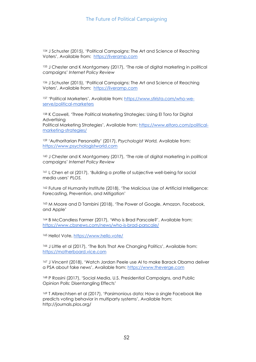<sup>154</sup> J Schuster (2015), 'Political Campaigns: The Art and Science of Reaching Voters', Available from: [https://liveramp.com](https://liveramp.com/blog/political-campaigns-the-art-and-science-of-reaching-voters/) 

<sup>155</sup> J Chester and K Montgomery (2017), 'The role of digital marketing in political campaigns' *Internet Policy Review* 

<sup>156</sup> J Schuster (2015), 'Political Campaigns: The Art and Science of Reaching Voters', Available from: [https://liveramp.com](https://liveramp.com/blog/political-campaigns-the-art-and-science-of-reaching-voters/) 

<sup>157</sup> 'Political Marketers', Available from: [https://www.stirista.com/who-we](https://www.stirista.com/who-we-serve/political-marketers)[serve/political-marketers](https://www.stirista.com/who-we-serve/political-marketers)

<sup>158</sup> K Caswell, 'Three Political Marketing Strategies: Using El Toro for Digital Advertising

Political Marketing Strategies', Available from: [https://www.eltoro.com/political](https://www.eltoro.com/political-marketing-strategies/)[marketing-strategies/](https://www.eltoro.com/political-marketing-strategies/)

<sup>159</sup> 'Authoritarian Personality' (2017), *Psychologist World,* Available from: [https://www.psychologistworld.com](https://www.psychologistworld.com/)

<sup>160</sup> J Chester and K Montgomery (2017), 'The role of digital marketing in political campaigns' *Internet Policy Review* 

<sup>161</sup> L Chen et al (2017), 'Building a profile of subjective well-being for social media users' *PLOS.*

162 Future of Humanity Institute (2018), 'The Malicious Use of Artificial Intelligence: Forecasting, Prevention, and Mitigation'

<sup>163</sup> M Moore and D Tambini (2018), 'The Power of Google, Amazon, Facebook, and Apple'

<sup>164</sup> B McCandless Farmer (2017), 'Who is Brad Parscale?', Available from: <https://www.cbsnews.com/news/who-is-brad-parscale/>

<sup>165</sup> Hello! Vote,<https://www.hello.vote/>

166 J Little et al (2017), 'The Bots That Are Changing Politics', Available from: [https://motherboard.vice.com](https://motherboard.vice.com/)

<sup>167</sup> J Vincent (2018), 'Watch Jordan Peele use AI to make Barack Obama deliver a PSA about fake news', Available from: [https://www.theverge.com](https://www.theverge.com/)

<sup>168</sup> P Rossini (2017), 'Social Media, U.S. Presidential Campaigns, and Public Opinion Polls: Disentangling Effects'

<sup>169</sup> T Albrechtsen et al (2017), 'Parsimonious data: How a single Facebook like predicts voting behavior in multiparty systems', Available from: http://journals.plos.org/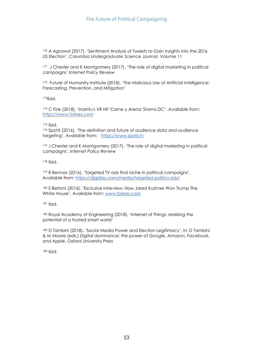<sup>170</sup> A Agrawal (2017), 'Sentiment Analysis of Tweets to Gain Insights into the 2016 US Election', *Columbia Undergraduate Science Journal*, Volume 11

171 J Chester and K Montgomery (2017), 'The role of digital marketing in political campaigns' *Internet Policy Review* 

172 Future of Humanity Institute (2018), 'The Malicious Use of Artificial Intelligence: Forecasting, Prevention, and Mitigation*'* 

<sup>173</sup>Ibid.

<sup>174</sup> C Fink (2018), 'Inarritu's VR Hit 'Carne y Arena' Storms DC', Available from: [https://www.forbes.com](https://www.forbes.com/)

<sup>175</sup> Ibid.

<sup>176</sup> SpotX (2016), 'The definition and future of audience data and audience targeting', Available from: [https://www.spotx.tv](https://www.spotx.tv/resources/blog/product-pulse/the-definition-and-future-of-audience-data-and-audience-targeting/)

177 J Chester and K Montgomery (2017), 'The role of digital marketing in political campaigns', *Internet Policy Review* 

<sup>178</sup> Ibid.

<sup>179</sup> R Bennas (2016), 'Targeted TV ads find niche in political campaigns', Available from:<https://digiday.com/media/targeted-politics-ads/>

180 S Bertoni (2016), 'Exclusive Interview: How Jared Kushner Won Trump The White House', Available from: [www.forbes.com](http://www.forbes.com/)

<sup>181</sup> Ibid.

<sup>182</sup> Royal Academy of Engineering (2018), 'Internet of Things: realising the potential of a trusted smart world'

183 D Tambini (2018), 'Social Media Power and Election Legitimacy', In: D Tambini & M Moore (eds.) *Digital dominance: the power of Google, Amazon, Facebook, and Apple*, Oxford University Press

<sup>184</sup> Ibid.